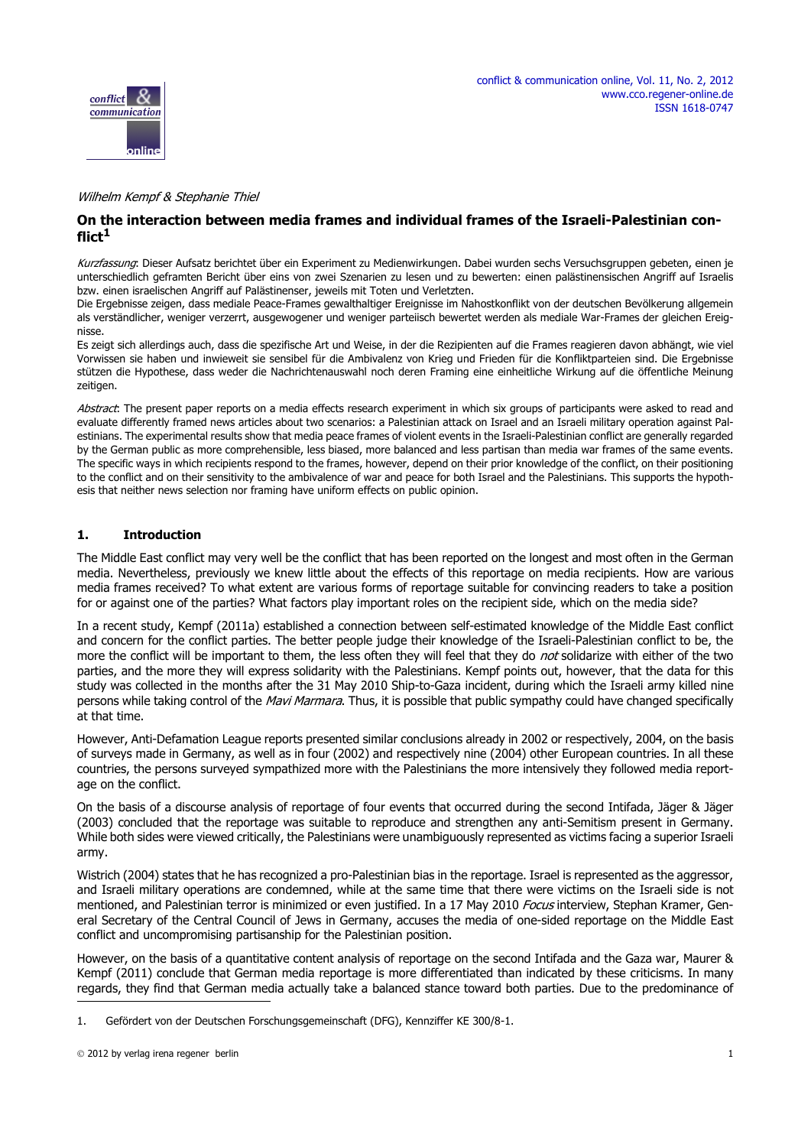

#### Wilhelm Kempf & Stephanie Thiel

## **On the interaction between media frames and individual frames of the Israeli-Palestinian conflict<sup>1</sup>**

Kurzfassung: Dieser Aufsatz berichtet über ein Experiment zu Medienwirkungen. Dabei wurden sechs Versuchsgruppen gebeten, einen je unterschiedlich geframten Bericht über eins von zwei Szenarien zu lesen und zu bewerten: einen palästinensischen Angriff auf Israelis bzw. einen israelischen Angriff auf Palästinenser, jeweils mit Toten und Verletzten.

Die Ergebnisse zeigen, dass mediale Peace-Frames gewalthaltiger Ereignisse im Nahostkonflikt von der deutschen Bevölkerung allgemein als verständlicher, weniger verzerrt, ausgewogener und weniger parteiisch bewertet werden als mediale War-Frames der gleichen Ereignisse.

Es zeigt sich allerdings auch, dass die spezifische Art und Weise, in der die Rezipienten auf die Frames reagieren davon abhängt, wie viel Vorwissen sie haben und inwieweit sie sensibel für die Ambivalenz von Krieg und Frieden für die Konfliktparteien sind. Die Ergebnisse stützen die Hypothese, dass weder die Nachrichtenauswahl noch deren Framing eine einheitliche Wirkung auf die öffentliche Meinung zeitigen.

Abstract: The present paper reports on a media effects research experiment in which six groups of participants were asked to read and evaluate differently framed news articles about two scenarios: a Palestinian attack on Israel and an Israeli military operation against Palestinians. The experimental results show that media peace frames of violent events in the Israeli-Palestinian conflict are generally regarded by the German public as more comprehensible, less biased, more balanced and less partisan than media war frames of the same events. The specific ways in which recipients respond to the frames, however, depend on their prior knowledge of the conflict, on their positioning to the conflict and on their sensitivity to the ambivalence of war and peace for both Israel and the Palestinians. This supports the hypothesis that neither news selection nor framing have uniform effects on public opinion.

### **1. Introduction**

The Middle East conflict may very well be the conflict that has been reported on the longest and most often in the German media. Nevertheless, previously we knew little about the effects of this reportage on media recipients. How are various media frames received? To what extent are various forms of reportage suitable for convincing readers to take a position for or against one of the parties? What factors play important roles on the recipient side, which on the media side?

In a recent study, Kempf (2011a) established a connection between self-estimated knowledge of the Middle East conflict and concern for the conflict parties. The better people judge their knowledge of the Israeli-Palestinian conflict to be, the more the conflict will be important to them, the less often they will feel that they do not solidarize with either of the two parties, and the more they will express solidarity with the Palestinians. Kempf points out, however, that the data for this study was collected in the months after the 31 May 2010 Ship-to-Gaza incident, during which the Israeli army killed nine persons while taking control of the Mavi Marmara. Thus, it is possible that public sympathy could have changed specifically at that time.

However, Anti-Defamation League reports presented similar conclusions already in 2002 or respectively, 2004, on the basis of surveys made in Germany, as well as in four (2002) and respectively nine (2004) other European countries. In all these countries, the persons surveyed sympathized more with the Palestinians the more intensively they followed media reportage on the conflict.

On the basis of a discourse analysis of reportage of four events that occurred during the second Intifada, Jäger & Jäger (2003) concluded that the reportage was suitable to reproduce and strengthen any anti-Semitism present in Germany. While both sides were viewed critically, the Palestinians were unambiguously represented as victims facing a superior Israeli army.

Wistrich (2004) states that he has recognized a pro-Palestinian bias in the reportage. Israel is represented as the aggressor, and Israeli military operations are condemned, while at the same time that there were victims on the Israeli side is not mentioned, and Palestinian terror is minimized or even justified. In a 17 May 2010 Focus interview, Stephan Kramer, General Secretary of the Central Council of Jews in Germany, accuses the media of one-sided reportage on the Middle East conflict and uncompromising partisanship for the Palestinian position.

However, on the basis of a quantitative content analysis of reportage on the second Intifada and the Gaza war, Maurer & Kempf (2011) conclude that German media reportage is more differentiated than indicated by these criticisms. In many regards, they find that German media actually take a balanced stance toward both parties. Due to the predominance of

<sup>1.</sup> Gefördert von der Deutschen Forschungsgemeinschaft (DFG), Kennziffer KE 300/8-1.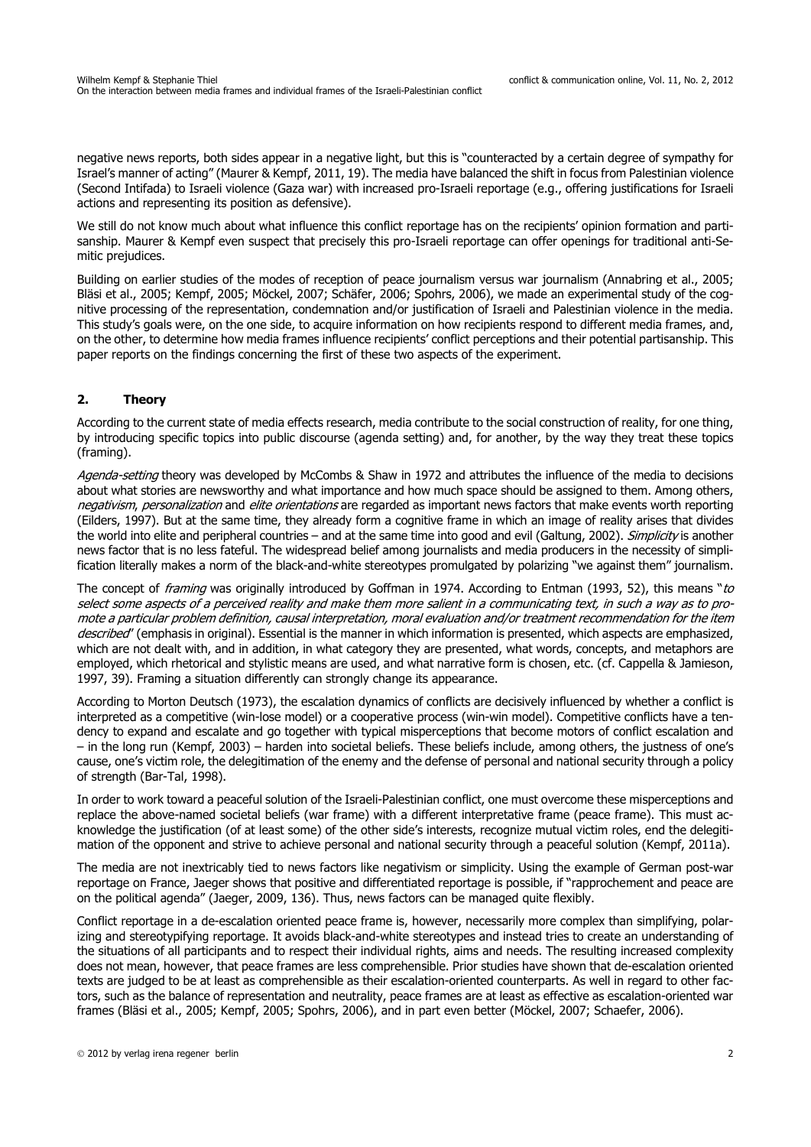negative news reports, both sides appear in a negative light, but this is "counteracted by a certain degree of sympathy for Israel's manner of acting" (Maurer & Kempf, 2011, 19). The media have balanced the shift in focus from Palestinian violence (Second Intifada) to Israeli violence (Gaza war) with increased pro-Israeli reportage (e.g., offering justifications for Israeli actions and representing its position as defensive).

We still do not know much about what influence this conflict reportage has on the recipients' opinion formation and partisanship. Maurer & Kempf even suspect that precisely this pro-Israeli reportage can offer openings for traditional anti-Semitic prejudices.

Building on earlier studies of the modes of reception of peace journalism versus war journalism (Annabring et al., 2005; Bläsi et al., 2005; Kempf, 2005; Möckel, 2007; Schäfer, 2006; Spohrs, 2006), we made an experimental study of the cognitive processing of the representation, condemnation and/or justification of Israeli and Palestinian violence in the media. This study's goals were, on the one side, to acquire information on how recipients respond to different media frames, and, on the other, to determine how media frames influence recipients' conflict perceptions and their potential partisanship. This paper reports on the findings concerning the first of these two aspects of the experiment.

## **2. Theory**

According to the current state of media effects research, media contribute to the social construction of reality, for one thing, by introducing specific topics into public discourse (agenda setting) and, for another, by the way they treat these topics (framing).

Agenda-setting theory was developed by McCombs & Shaw in 1972 and attributes the influence of the media to decisions about what stories are newsworthy and what importance and how much space should be assigned to them. Among others, negativism, personalization and elite orientations are regarded as important news factors that make events worth reporting (Eilders, 1997). But at the same time, they already form a cognitive frame in which an image of reality arises that divides the world into elite and peripheral countries – and at the same time into good and evil (Galtung, 2002). *Simplicity* is another news factor that is no less fateful. The widespread belief among journalists and media producers in the necessity of simplification literally makes a norm of the black-and-white stereotypes promulgated by polarizing "we against them" journalism.

The concept of *framing* was originally introduced by Goffman in 1974. According to Entman (1993, 52), this means "to select some aspects of a perceived reality and make them more salient in a communicating text, in such a way as to promote a particular problem definition, causal interpretation, moral evaluation and/or treatment recommendation for the item described' (emphasis in original). Essential is the manner in which information is presented, which aspects are emphasized, which are not dealt with, and in addition, in what category they are presented, what words, concepts, and metaphors are employed, which rhetorical and stylistic means are used, and what narrative form is chosen, etc. (cf. Cappella & Jamieson, 1997, 39). Framing a situation differently can strongly change its appearance.

According to Morton Deutsch (1973), the escalation dynamics of conflicts are decisively influenced by whether a conflict is interpreted as a competitive (win-lose model) or a cooperative process (win-win model). Competitive conflicts have a tendency to expand and escalate and go together with typical misperceptions that become motors of conflict escalation and – in the long run (Kempf, 2003) – harden into societal beliefs. These beliefs include, among others, the justness of one's cause, one's victim role, the delegitimation of the enemy and the defense of personal and national security through a policy of strength (Bar-Tal, 1998).

In order to work toward a peaceful solution of the Israeli-Palestinian conflict, one must overcome these misperceptions and replace the above-named societal beliefs (war frame) with a different interpretative frame (peace frame). This must acknowledge the justification (of at least some) of the other side's interests, recognize mutual victim roles, end the delegitimation of the opponent and strive to achieve personal and national security through a peaceful solution (Kempf, 2011a).

The media are not inextricably tied to news factors like negativism or simplicity. Using the example of German post-war reportage on France, Jaeger shows that positive and differentiated reportage is possible, if "rapprochement and peace are on the political agenda" (Jaeger, 2009, 136). Thus, news factors can be managed quite flexibly.

Conflict reportage in a de-escalation oriented peace frame is, however, necessarily more complex than simplifying, polarizing and stereotypifying reportage. It avoids black-and-white stereotypes and instead tries to create an understanding of the situations of all participants and to respect their individual rights, aims and needs. The resulting increased complexity does not mean, however, that peace frames are less comprehensible. Prior studies have shown that de-escalation oriented texts are judged to be at least as comprehensible as their escalation-oriented counterparts. As well in regard to other factors, such as the balance of representation and neutrality, peace frames are at least as effective as escalation-oriented war frames (Bläsi et al., 2005; Kempf, 2005; Spohrs, 2006), and in part even better (Möckel, 2007; Schaefer, 2006).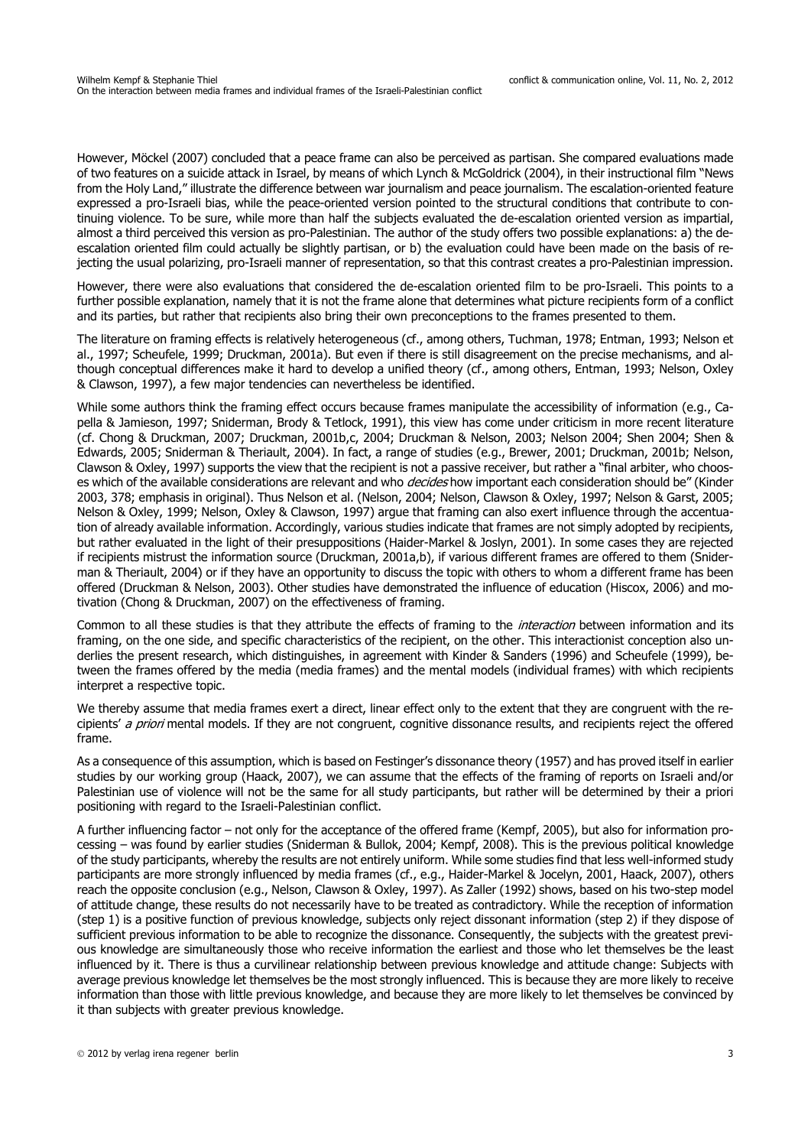However, Möckel (2007) concluded that a peace frame can also be perceived as partisan. She compared evaluations made of two features on a suicide attack in Israel, by means of which Lynch & McGoldrick (2004), in their instructional film "News from the Holy Land," illustrate the difference between war journalism and peace journalism. The escalation-oriented feature expressed a pro-Israeli bias, while the peace-oriented version pointed to the structural conditions that contribute to continuing violence. To be sure, while more than half the subjects evaluated the de-escalation oriented version as impartial, almost a third perceived this version as pro-Palestinian. The author of the study offers two possible explanations: a) the deescalation oriented film could actually be slightly partisan, or b) the evaluation could have been made on the basis of rejecting the usual polarizing, pro-Israeli manner of representation, so that this contrast creates a pro-Palestinian impression.

However, there were also evaluations that considered the de-escalation oriented film to be pro-Israeli. This points to a further possible explanation, namely that it is not the frame alone that determines what picture recipients form of a conflict and its parties, but rather that recipients also bring their own preconceptions to the frames presented to them.

The literature on framing effects is relatively heterogeneous (cf., among others, Tuchman, 1978; Entman, 1993; Nelson et al., 1997; Scheufele, 1999; Druckman, 2001a). But even if there is still disagreement on the precise mechanisms, and although conceptual differences make it hard to develop a unified theory (cf., among others, Entman, 1993; Nelson, Oxley & Clawson, 1997), a few major tendencies can nevertheless be identified.

While some authors think the framing effect occurs because frames manipulate the accessibility of information (e.g., Capella & Jamieson, 1997; Sniderman, Brody & Tetlock, 1991), this view has come under criticism in more recent literature (cf. Chong & Druckman, 2007; Druckman, 2001b,c, 2004; Druckman & Nelson, 2003; Nelson 2004; Shen 2004; Shen & Edwards, 2005; Sniderman & Theriault, 2004). In fact, a range of studies (e.g., Brewer, 2001; Druckman, 2001b; Nelson, Clawson & Oxley, 1997) supports the view that the recipient is not a passive receiver, but rather a "final arbiter, who chooses which of the available considerations are relevant and who *decides* how important each consideration should be" (Kinder 2003, 378; emphasis in original). Thus Nelson et al. (Nelson, 2004; Nelson, Clawson & Oxley, 1997; Nelson & Garst, 2005; Nelson & Oxley, 1999; Nelson, Oxley & Clawson, 1997) argue that framing can also exert influence through the accentuation of already available information. Accordingly, various studies indicate that frames are not simply adopted by recipients, but rather evaluated in the light of their presuppositions (Haider-Markel & Joslyn, 2001). In some cases they are rejected if recipients mistrust the information source (Druckman, 2001a,b), if various different frames are offered to them (Sniderman & Theriault, 2004) or if they have an opportunity to discuss the topic with others to whom a different frame has been offered (Druckman & Nelson, 2003). Other studies have demonstrated the influence of education (Hiscox, 2006) and motivation (Chong & Druckman, 2007) on the effectiveness of framing.

Common to all these studies is that they attribute the effects of framing to the *interaction* between information and its framing, on the one side, and specific characteristics of the recipient, on the other. This interactionist conception also underlies the present research, which distinguishes, in agreement with Kinder & Sanders (1996) and Scheufele (1999), between the frames offered by the media (media frames) and the mental models (individual frames) with which recipients interpret a respective topic.

We thereby assume that media frames exert a direct, linear effect only to the extent that they are congruent with the recipients' a priori mental models. If they are not congruent, cognitive dissonance results, and recipients reject the offered frame.

As a consequence of this assumption, which is based on Festinger's dissonance theory (1957) and has proved itself in earlier studies by our working group (Haack, 2007), we can assume that the effects of the framing of reports on Israeli and/or Palestinian use of violence will not be the same for all study participants, but rather will be determined by their a priori positioning with regard to the Israeli-Palestinian conflict.

A further influencing factor – not only for the acceptance of the offered frame (Kempf, 2005), but also for information processing – was found by earlier studies (Sniderman & Bullok, 2004; Kempf, 2008). This is the previous political knowledge of the study participants, whereby the results are not entirely uniform. While some studies find that less well-informed study participants are more strongly influenced by media frames (cf., e.g., Haider-Markel & Jocelyn, 2001, Haack, 2007), others reach the opposite conclusion (e.g., Nelson, Clawson & Oxley, 1997). As Zaller (1992) shows, based on his two-step model of attitude change, these results do not necessarily have to be treated as contradictory. While the reception of information (step 1) is a positive function of previous knowledge, subjects only reject dissonant information (step 2) if they dispose of sufficient previous information to be able to recognize the dissonance. Consequently, the subjects with the greatest previous knowledge are simultaneously those who receive information the earliest and those who let themselves be the least influenced by it. There is thus a curvilinear relationship between previous knowledge and attitude change: Subjects with average previous knowledge let themselves be the most strongly influenced. This is because they are more likely to receive information than those with little previous knowledge, and because they are more likely to let themselves be convinced by it than subjects with greater previous knowledge.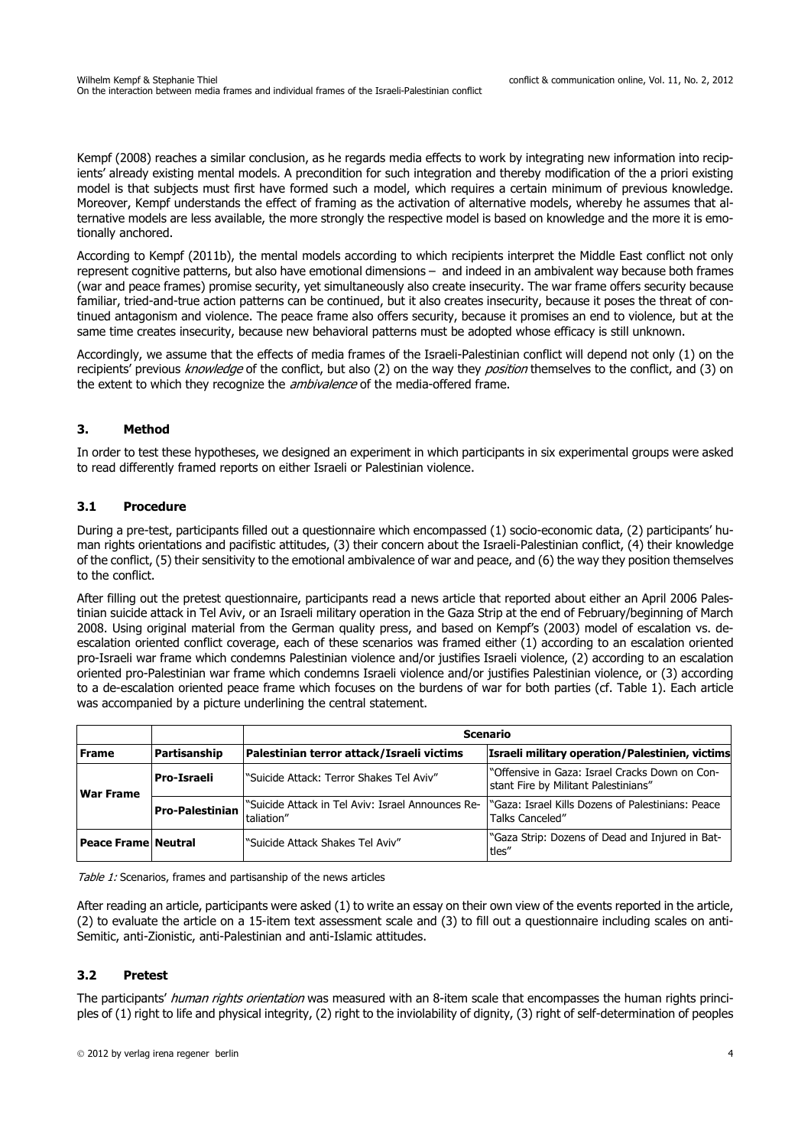Kempf (2008) reaches a similar conclusion, as he regards media effects to work by integrating new information into recipients' already existing mental models. A precondition for such integration and thereby modification of the a priori existing model is that subjects must first have formed such a model, which requires a certain minimum of previous knowledge. Moreover, Kempf understands the effect of framing as the activation of alternative models, whereby he assumes that alternative models are less available, the more strongly the respective model is based on knowledge and the more it is emotionally anchored.

According to Kempf (2011b), the mental models according to which recipients interpret the Middle East conflict not only represent cognitive patterns, but also have emotional dimensions – and indeed in an ambivalent way because both frames (war and peace frames) promise security, yet simultaneously also create insecurity. The war frame offers security because familiar, tried-and-true action patterns can be continued, but it also creates insecurity, because it poses the threat of continued antagonism and violence. The peace frame also offers security, because it promises an end to violence, but at the same time creates insecurity, because new behavioral patterns must be adopted whose efficacy is still unknown.

Accordingly, we assume that the effects of media frames of the Israeli-Palestinian conflict will depend not only (1) on the recipients' previous knowledge of the conflict, but also (2) on the way they position themselves to the conflict, and (3) on the extent to which they recognize the *ambivalence* of the media-offered frame.

# **3. Method**

In order to test these hypotheses, we designed an experiment in which participants in six experimental groups were asked to read differently framed reports on either Israeli or Palestinian violence.

## **3.1 Procedure**

During a pre-test, participants filled out a questionnaire which encompassed (1) socio-economic data, (2) participants' human rights orientations and pacifistic attitudes, (3) their concern about the Israeli-Palestinian conflict, (4) their knowledge of the conflict, (5) their sensitivity to the emotional ambivalence of war and peace, and (6) the way they position themselves to the conflict.

After filling out the pretest questionnaire, participants read a news article that reported about either an April 2006 Palestinian suicide attack in Tel Aviv, or an Israeli military operation in the Gaza Strip at the end of February/beginning of March 2008. Using original material from the German quality press, and based on Kempf's (2003) model of escalation vs. deescalation oriented conflict coverage, each of these scenarios was framed either (1) according to an escalation oriented pro-Israeli war frame which condemns Palestinian violence and/or justifies Israeli violence, (2) according to an escalation oriented pro-Palestinian war frame which condemns Israeli violence and/or justifies Palestinian violence, or (3) according to a de-escalation oriented peace frame which focuses on the burdens of war for both parties (cf. Table 1). Each article was accompanied by a picture underlining the central statement.

|                            |                        |                                                                  | <b>Scenario</b>                                                                        |  |  |  |
|----------------------------|------------------------|------------------------------------------------------------------|----------------------------------------------------------------------------------------|--|--|--|
| Frame                      | Partisanship           | Palestinian terror attack/Israeli victims                        | Israeli military operation/Palestinien, victims                                        |  |  |  |
| <b>War Frame</b>           | <b>Pro-Israeli</b>     | l"Suicide Attack: Terror Shakes Tel Aviv"                        | "Offensive in Gaza: Israel Cracks Down on Con-<br>stant Fire by Militant Palestinians" |  |  |  |
|                            | <b>Pro-Palestinian</b> | l"Suicide Attack in Tel Aviv: Israel Announces Re-<br>taliation" | l "Gaza: Israel Kills Dozens of Palestinians: Peace<br>Talks Canceled"                 |  |  |  |
| <b>Peace Frame Neutral</b> |                        | l"Suicide Attack Shakes Tel Aviv"                                | "Gaza Strip: Dozens of Dead and Injured in Bat-<br>tles"                               |  |  |  |

Table 1: Scenarios, frames and partisanship of the news articles

After reading an article, participants were asked (1) to write an essay on their own view of the events reported in the article, (2) to evaluate the article on a 15-item text assessment scale and (3) to fill out a questionnaire including scales on anti-Semitic, anti-Zionistic, anti-Palestinian and anti-Islamic attitudes.

# **3.2 Pretest**

The participants' human rights orientation was measured with an 8-item scale that encompasses the human rights principles of (1) right to life and physical integrity, (2) right to the inviolability of dignity, (3) right of self-determination of peoples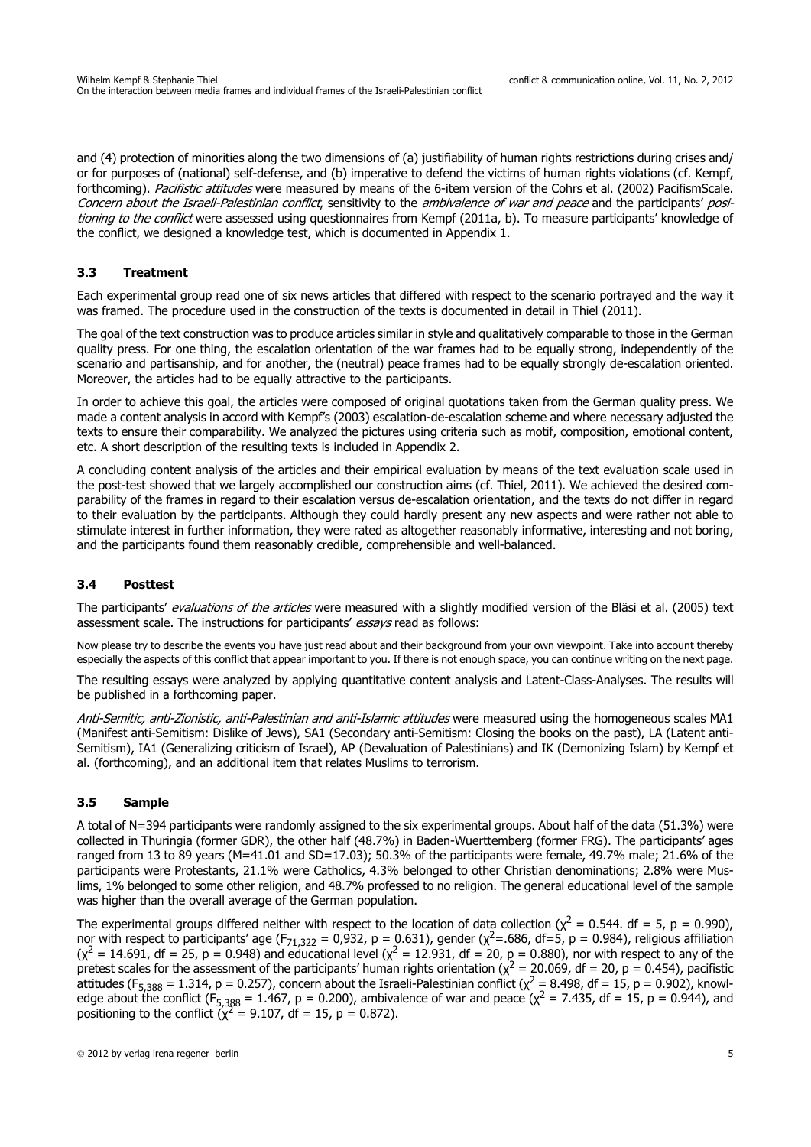and (4) protection of minorities along the two dimensions of (a) justifiability of human rights restrictions during crises and/ or for purposes of (national) self-defense, and (b) imperative to defend the victims of human rights violations (cf. Kempf, forthcoming). Pacifistic attitudes were measured by means of the 6-item version of the Cohrs et al. (2002) PacifismScale. Concern about the Israeli-Palestinian conflict, sensitivity to the ambivalence of war and peace and the participants' positionina to the conflict were assessed using questionnaires from Kempf (2011a, b). To measure participants' knowledge of the conflict, we designed a knowledge test, which is documented in Appendix 1.

## **3.3 Treatment**

Each experimental group read one of six news articles that differed with respect to the scenario portrayed and the way it was framed. The procedure used in the construction of the texts is documented in detail in Thiel (2011).

The goal of the text construction was to produce articles similar in style and qualitatively comparable to those in the German quality press. For one thing, the escalation orientation of the war frames had to be equally strong, independently of the scenario and partisanship, and for another, the (neutral) peace frames had to be equally strongly de-escalation oriented. Moreover, the articles had to be equally attractive to the participants.

In order to achieve this goal, the articles were composed of original quotations taken from the German quality press. We made a content analysis in accord with Kempf's (2003) escalation-de-escalation scheme and where necessary adjusted the texts to ensure their comparability. We analyzed the pictures using criteria such as motif, composition, emotional content, etc. A short description of the resulting texts is included in Appendix 2.

A concluding content analysis of the articles and their empirical evaluation by means of the text evaluation scale used in the post-test showed that we largely accomplished our construction aims (cf. Thiel, 2011). We achieved the desired comparability of the frames in regard to their escalation versus de-escalation orientation, and the texts do not differ in regard to their evaluation by the participants. Although they could hardly present any new aspects and were rather not able to stimulate interest in further information, they were rated as altogether reasonably informative, interesting and not boring, and the participants found them reasonably credible, comprehensible and well-balanced.

### **3.4 Posttest**

The participants' *evaluations of the articles* were measured with a slightly modified version of the Bläsi et al. (2005) text assessment scale. The instructions for participants' essays read as follows:

Now please try to describe the events you have just read about and their background from your own viewpoint. Take into account thereby especially the aspects of this conflict that appear important to you. If there is not enough space, you can continue writing on the next page.

The resulting essays were analyzed by applying quantitative content analysis and Latent-Class-Analyses. The results will be published in a forthcoming paper.

Anti-Semitic, anti-Zionistic, anti-Palestinian and anti-Islamic attitudes were measured using the homogeneous scales MA1 (Manifest anti-Semitism: Dislike of Jews), SA1 (Secondary anti-Semitism: Closing the books on the past), LA (Latent anti-Semitism), IA1 (Generalizing criticism of Israel), AP (Devaluation of Palestinians) and IK (Demonizing Islam) by Kempf et al. (forthcoming), and an additional item that relates Muslims to terrorism.

### **3.5 Sample**

A total of N=394 participants were randomly assigned to the six experimental groups. About half of the data (51.3%) were collected in Thuringia (former GDR), the other half (48.7%) in Baden-Wuerttemberg (former FRG). The participants' ages ranged from 13 to 89 years (M=41.01 and SD=17.03); 50.3% of the participants were female, 49.7% male; 21.6% of the participants were Protestants, 21.1% were Catholics, 4.3% belonged to other Christian denominations; 2.8% were Muslims, 1% belonged to some other religion, and 48.7% professed to no religion. The general educational level of the sample was higher than the overall average of the German population.

The experimental groups differed neither with respect to the location of data collection ( $\chi^2$  = 0.544. df = 5, p = 0.990), nor with respect to participants' age (F<sub>71,322</sub> = 0,932, p = 0.631), gender ( $\chi^2$ =.686, df=5, p = 0.984), religious affiliation  $(x^2 = 14.691$ , df = 25, p = 0.948) and educational level  $(x^2 = 12.931$ , df = 20, p = 0.880), nor with respect to any of the pretest scales for the assessment of the participants' human rights orientation ( $\chi^2$  = 20.069, df = 20, p = 0.454), pacifistic attitudes (F<sub>5,388</sub> = 1.314, p = 0.257), concern about the Israeli-Palestinian conflict (χ<sup>2</sup> = 8.498, df = 15, p = 0.902), knowledge about the conflict (F<sub>5,388</sub> = 1.467, p = 0.200), ambivalence of war and peace ( $\chi^2$  = 7.435, df = 15, p = 0.944), and positioning to the conflict  $(\chi^2 = 9.107)$ , df = 15, p = 0.872).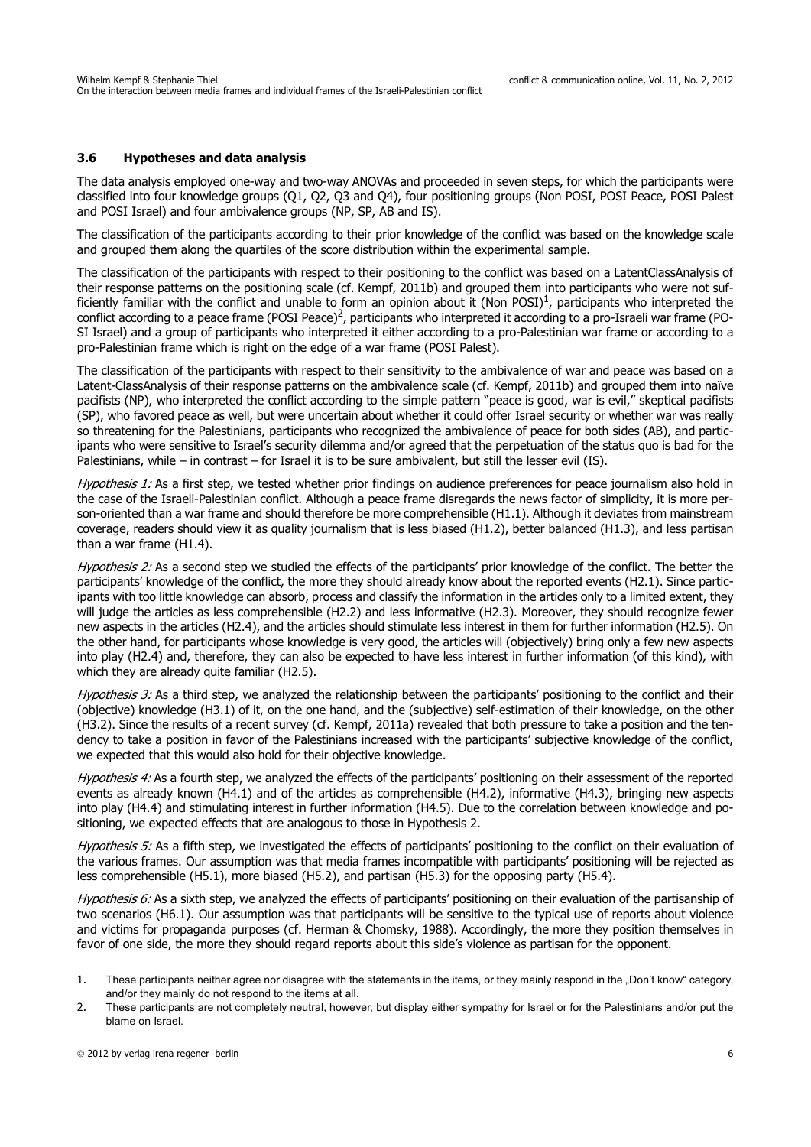### **3.6 Hypotheses and data analysis**

The data analysis employed one-way and two-way ANOVAs and proceeded in seven steps, for which the participants were classified into four knowledge groups (Q1, Q2, Q3 and Q4), four positioning groups (Non POSI, POSI Peace, POSI Palest and POSI Israel) and four ambivalence groups (NP, SP, AB and IS).

The classification of the participants according to their prior knowledge of the conflict was based on the knowledge scale and grouped them along the quartiles of the score distribution within the experimental sample.

The classification of the participants with respect to their positioning to the conflict was based on a LatentClassAnalysis of their response patterns on the positioning scale (cf. Kempf, 2011b) and grouped them into participants who were not sufficiently familiar with the conflict and unable to form an opinion about it (Non POSI)<sup>1</sup>, participants who interpreted the conflict according to a peace frame (POSI Peace)<sup>2</sup>, participants who interpreted it according to a pro-Israeli war frame (PO-SI Israel) and a group of participants who interpreted it either according to a pro-Palestinian war frame or according to a pro-Palestinian frame which is right on the edge of a war frame (POSI Palest).

The classification of the participants with respect to their sensitivity to the ambivalence of war and peace was based on a Latent-ClassAnalysis of their response patterns on the ambivalence scale (cf. Kempf, 2011b) and grouped them into naïve pacifists (NP), who interpreted the conflict according to the simple pattern "peace is good, war is evil," skeptical pacifists (SP), who favored peace as well, but were uncertain about whether it could offer Israel security or whether war was really so threatening for the Palestinians, participants who recognized the ambivalence of peace for both sides (AB), and participants who were sensitive to Israel's security dilemma and/or agreed that the perpetuation of the status quo is bad for the Palestinians, while – in contrast – for Israel it is to be sure ambivalent, but still the lesser evil (IS).

Hypothesis 1: As a first step, we tested whether prior findings on audience preferences for peace journalism also hold in the case of the Israeli-Palestinian conflict. Although a peace frame disregards the news factor of simplicity, it is more person-oriented than a war frame and should therefore be more comprehensible (H1.1). Although it deviates from mainstream coverage, readers should view it as quality journalism that is less biased (H1.2), better balanced (H1.3), and less partisan than a war frame (H1.4).

Hypothesis 2: As a second step we studied the effects of the participants' prior knowledge of the conflict. The better the participants' knowledge of the conflict, the more they should already know about the reported events (H2.1). Since participants with too little knowledge can absorb, process and classify the information in the articles only to a limited extent, they will judge the articles as less comprehensible (H2.2) and less informative (H2.3). Moreover, they should recognize fewer new aspects in the articles (H2.4), and the articles should stimulate less interest in them for further information (H2.5). On the other hand, for participants whose knowledge is very good, the articles will (objectively) bring only a few new aspects into play (H2.4) and, therefore, they can also be expected to have less interest in further information (of this kind), with which they are already quite familiar (H2.5).

Hypothesis 3: As a third step, we analyzed the relationship between the participants' positioning to the conflict and their (objective) knowledge (H3.1) of it, on the one hand, and the (subjective) self-estimation of their knowledge, on the other (H3.2). Since the results of a recent survey (cf. Kempf, 2011a) revealed that both pressure to take a position and the tendency to take a position in favor of the Palestinians increased with the participants' subjective knowledge of the conflict, we expected that this would also hold for their objective knowledge.

Hypothesis 4: As a fourth step, we analyzed the effects of the participants' positioning on their assessment of the reported events as already known (H4.1) and of the articles as comprehensible (H4.2), informative (H4.3), bringing new aspects into play (H4.4) and stimulating interest in further information (H4.5). Due to the correlation between knowledge and positioning, we expected effects that are analogous to those in Hypothesis 2.

Hypothesis 5: As a fifth step, we investigated the effects of participants' positioning to the conflict on their evaluation of the various frames. Our assumption was that media frames incompatible with participants' positioning will be rejected as less comprehensible (H5.1), more biased (H5.2), and partisan (H5.3) for the opposing party (H5.4).

Hypothesis 6: As a sixth step, we analyzed the effects of participants' positioning on their evaluation of the partisanship of two scenarios (H6.1). Our assumption was that participants will be sensitive to the typical use of reports about violence and victims for propaganda purposes (cf. Herman & Chomsky, 1988). Accordingly, the more they position themselves in favor of one side, the more they should regard reports about this side's violence as partisan for the opponent.

<sup>1.</sup> These participants neither agree nor disagree with the statements in the items, or they mainly respond in the "Don't know" category. and/or they mainly do not respond to the items at all.

<sup>2.</sup> These participants are not completely neutral, however, but display either sympathy for Israel or for the Palestinians and/or put the blame on Israel.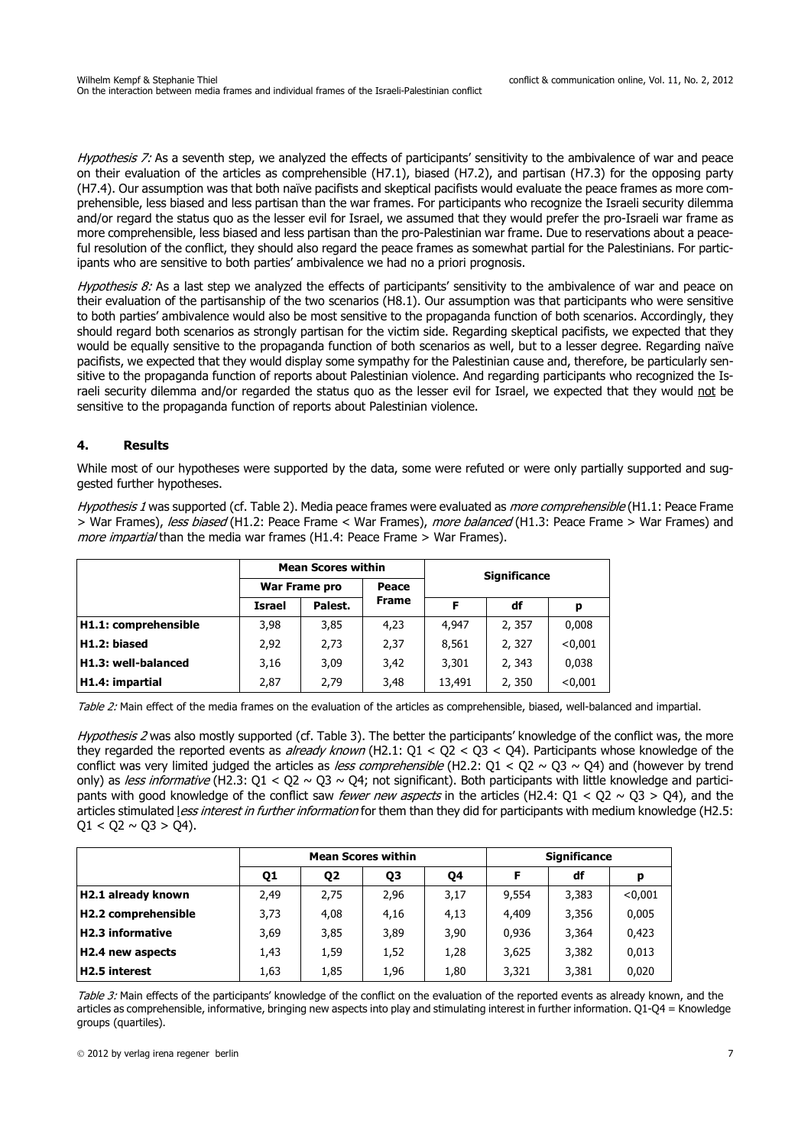Hypothesis 7: As a seventh step, we analyzed the effects of participants' sensitivity to the ambivalence of war and peace on their evaluation of the articles as comprehensible (H7.1), biased (H7.2), and partisan (H7.3) for the opposing party (H7.4). Our assumption was that both naïve pacifists and skeptical pacifists would evaluate the peace frames as more comprehensible, less biased and less partisan than the war frames. For participants who recognize the Israeli security dilemma and/or regard the status quo as the lesser evil for Israel, we assumed that they would prefer the pro-Israeli war frame as more comprehensible, less biased and less partisan than the pro-Palestinian war frame. Due to reservations about a peaceful resolution of the conflict, they should also regard the peace frames as somewhat partial for the Palestinians. For participants who are sensitive to both parties' ambivalence we had no a priori prognosis.

Hypothesis 8: As a last step we analyzed the effects of participants' sensitivity to the ambivalence of war and peace on their evaluation of the partisanship of the two scenarios (H8.1). Our assumption was that participants who were sensitive to both parties' ambivalence would also be most sensitive to the propaganda function of both scenarios. Accordingly, they should regard both scenarios as strongly partisan for the victim side. Regarding skeptical pacifists, we expected that they would be equally sensitive to the propaganda function of both scenarios as well, but to a lesser degree. Regarding naïve pacifists, we expected that they would display some sympathy for the Palestinian cause and, therefore, be particularly sensitive to the propaganda function of reports about Palestinian violence. And regarding participants who recognized the Israeli security dilemma and/or regarded the status quo as the lesser evil for Israel, we expected that they would not be sensitive to the propaganda function of reports about Palestinian violence.

# **4. Results**

While most of our hypotheses were supported by the data, some were refuted or were only partially supported and suggested further hypotheses.

Hypothesis 1 was supported (cf. Table 2). Media peace frames were evaluated as *more comprehensible* (H1.1: Peace Frame > War Frames), less biased (H1.2: Peace Frame < War Frames), more balanced (H1.3: Peace Frame > War Frames) and more impartial than the media war frames (H1.4: Peace Frame > War Frames).

|                      |               | <b>Mean Scores within</b> |              | <b>Significance</b> |        |         |  |
|----------------------|---------------|---------------------------|--------------|---------------------|--------|---------|--|
|                      | War Frame pro |                           | Peace        |                     |        |         |  |
|                      | <b>Israel</b> | Palest.                   | <b>Frame</b> | F                   | df     | p       |  |
| H1.1: comprehensible | 3,98          | 3,85                      | 4,23         | 4,947               | 2,357  | 0,008   |  |
| H1.2: biased         | 2,92          | 2,73                      | 2,37         | 8,561               | 2,327  | < 0.001 |  |
| H1.3: well-balanced  | 3,16          | 3,09                      | 3,42         | 3,301               | 2, 343 | 0,038   |  |
| H1.4: impartial      | 2,87<br>2,79  |                           | 3,48         | 13,491              | 2,350  | < 0.001 |  |

Table 2: Main effect of the media frames on the evaluation of the articles as comprehensible, biased, well-balanced and impartial.

Hypothesis 2 was also mostly supported (cf. Table 3). The better the participants' knowledge of the conflict was, the more they regarded the reported events as *already known* (H2.1:  $Q1 < Q2 < Q3 < Q4$ ). Participants whose knowledge of the conflict was very limited judged the articles as less comprehensible (H2.2:  $Q1 < Q2 \sim Q3 \sim Q4$ ) and (however by trend only) as *less informative* (H2.3: Q1 < Q2 ~ Q3 ~ Q4; not significant). Both participants with little knowledge and participants with good knowledge of the conflict saw *fewer new aspects* in the articles (H2.4: Q1 < Q2 ~ Q3 > Q4), and the articles stimulated less interest in further information for them than they did for participants with medium knowledge (H2.5:  $Q1 < Q2 \sim Q3 > Q4$ ).

|                         |      |                | <b>Mean Scores within</b> | <b>Significance</b> |       |       |         |
|-------------------------|------|----------------|---------------------------|---------------------|-------|-------|---------|
|                         | 01   | Q <sub>2</sub> | Q3                        | Q4                  |       | df    | р       |
| H2.1 already known      | 2,49 | 2.75           | 2.96                      | 3,17                | 9,554 | 3,383 | < 0.001 |
| H2.2 comprehensible     | 3,73 | 4.08           | 4.16                      | 4,13                | 4,409 | 3,356 | 0,005   |
| <b>H2.3 informative</b> | 3,69 | 3,85           | 3,89                      | 3,90                | 0,936 | 3,364 | 0,423   |
| H2.4 new aspects        | 1,43 | 1,59           | 1,52                      | 1,28                | 3,625 | 3,382 | 0,013   |
| <b>H2.5 interest</b>    | 1,63 | 1,85           | 1,96                      | 1,80                | 3,321 | 3,381 | 0,020   |

Table 3: Main effects of the participants' knowledge of the conflict on the evaluation of the reported events as already known, and the articles as comprehensible, informative, bringing new aspects into play and stimulating interest in further information. Q1-Q4 = Knowledge groups (quartiles).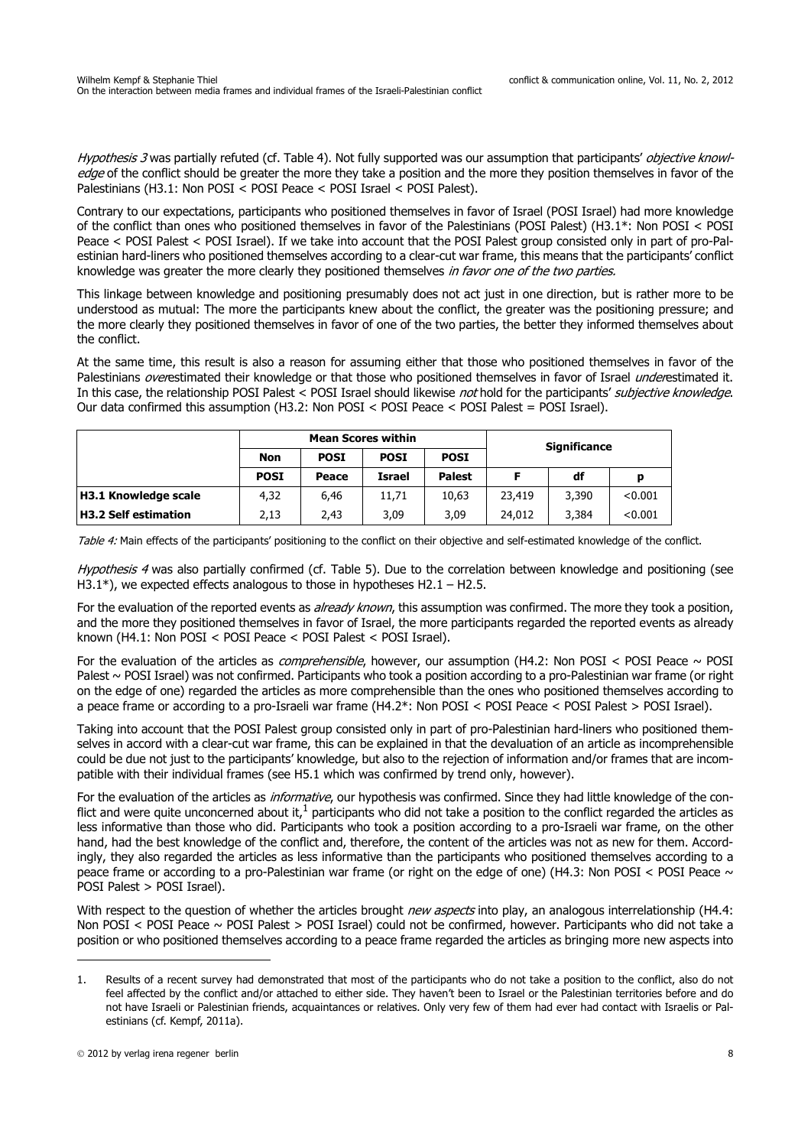Hypothesis 3 was partially refuted (cf. Table 4). Not fully supported was our assumption that participants' objective knowledge of the conflict should be greater the more they take a position and the more they position themselves in favor of the Palestinians (H3.1: Non POSI < POSI Peace < POSI Israel < POSI Palest).

Contrary to our expectations, participants who positioned themselves in favor of Israel (POSI Israel) had more knowledge of the conflict than ones who positioned themselves in favor of the Palestinians (POSI Palest) (H3.1\*: Non POSI < POSI Peace < POSI Palest < POSI Israel). If we take into account that the POSI Palest group consisted only in part of pro-Palestinian hard-liners who positioned themselves according to a clear-cut war frame, this means that the participants' conflict knowledge was greater the more clearly they positioned themselves in favor one of the two parties.

This linkage between knowledge and positioning presumably does not act just in one direction, but is rather more to be understood as mutual: The more the participants knew about the conflict, the greater was the positioning pressure; and the more clearly they positioned themselves in favor of one of the two parties, the better they informed themselves about the conflict.

At the same time, this result is also a reason for assuming either that those who positioned themselves in favor of the Palestinians overestimated their knowledge or that those who positioned themselves in favor of Israel underestimated it. In this case, the relationship POSI Palest < POSI Israel should likewise not hold for the participants' subjective knowledge. Our data confirmed this assumption (H3.2: Non POSI < POSI Peace < POSI Palest = POSI Israel).

|                             |             |             | <b>Mean Scores within</b> | <b>Significance</b> |        |       |         |
|-----------------------------|-------------|-------------|---------------------------|---------------------|--------|-------|---------|
|                             | Non         | <b>POSI</b> | <b>POSI</b>               | <b>POSI</b>         |        |       |         |
|                             | <b>POSI</b> | Peace       | <b>Israel</b>             | <b>Palest</b>       |        | df    |         |
| H3.1 Knowledge scale        | 4,32        | 6.46        | 11.71                     | 10.63               | 23,419 | 3,390 | < 0.001 |
| <b>H3.2 Self estimation</b> | 2,13        | 2,43        | 3.09                      | 3.09                | 24,012 | 3,384 | < 0.001 |

Table 4: Main effects of the participants' positioning to the conflict on their objective and self-estimated knowledge of the conflict.

Hypothesis 4 was also partially confirmed (cf. Table 5). Due to the correlation between knowledge and positioning (see H3.1\*), we expected effects analogous to those in hypotheses H2.1 – H2.5.

For the evaluation of the reported events as *already known*, this assumption was confirmed. The more they took a position, and the more they positioned themselves in favor of Israel, the more participants regarded the reported events as already known (H4.1: Non POSI < POSI Peace < POSI Palest < POSI Israel).

For the evaluation of the articles as *comprehensible*, however, our assumption (H4.2: Non POSI < POSI Peace  $\sim$  POSI Palest ~ POSI Israel) was not confirmed. Participants who took a position according to a pro-Palestinian war frame (or right on the edge of one) regarded the articles as more comprehensible than the ones who positioned themselves according to a peace frame or according to a pro-Israeli war frame (H4.2\*: Non POSI < POSI Peace < POSI Palest > POSI Israel).

Taking into account that the POSI Palest group consisted only in part of pro-Palestinian hard-liners who positioned themselves in accord with a clear-cut war frame, this can be explained in that the devaluation of an article as incomprehensible could be due not just to the participants' knowledge, but also to the rejection of information and/or frames that are incompatible with their individual frames (see H5.1 which was confirmed by trend only, however).

For the evaluation of the articles as *informative*, our hypothesis was confirmed. Since they had little knowledge of the conflict and were quite unconcerned about it, $<sup>1</sup>$  participants who did not take a position to the conflict regarded the articles as</sup> less informative than those who did. Participants who took a position according to a pro-Israeli war frame, on the other hand, had the best knowledge of the conflict and, therefore, the content of the articles was not as new for them. Accordingly, they also regarded the articles as less informative than the participants who positioned themselves according to a peace frame or according to a pro-Palestinian war frame (or right on the edge of one) (H4.3: Non POSI < POSI Peace  $\sim$ POSI Palest > POSI Israel).

With respect to the question of whether the articles brought new aspects into play, an analogous interrelationship (H4.4: Non POSI < POSI Peace ~ POSI Palest > POSI Israel) could not be confirmed, however. Participants who did not take a position or who positioned themselves according to a peace frame regarded the articles as bringing more new aspects into

<sup>1.</sup> Results of a recent survey had demonstrated that most of the participants who do not take a position to the conflict, also do not feel affected by the conflict and/or attached to either side. They haven't been to Israel or the Palestinian territories before and do not have Israeli or Palestinian friends, acquaintances or relatives. Only very few of them had ever had contact with Israelis or Palestinians (cf. Kempf, 2011a).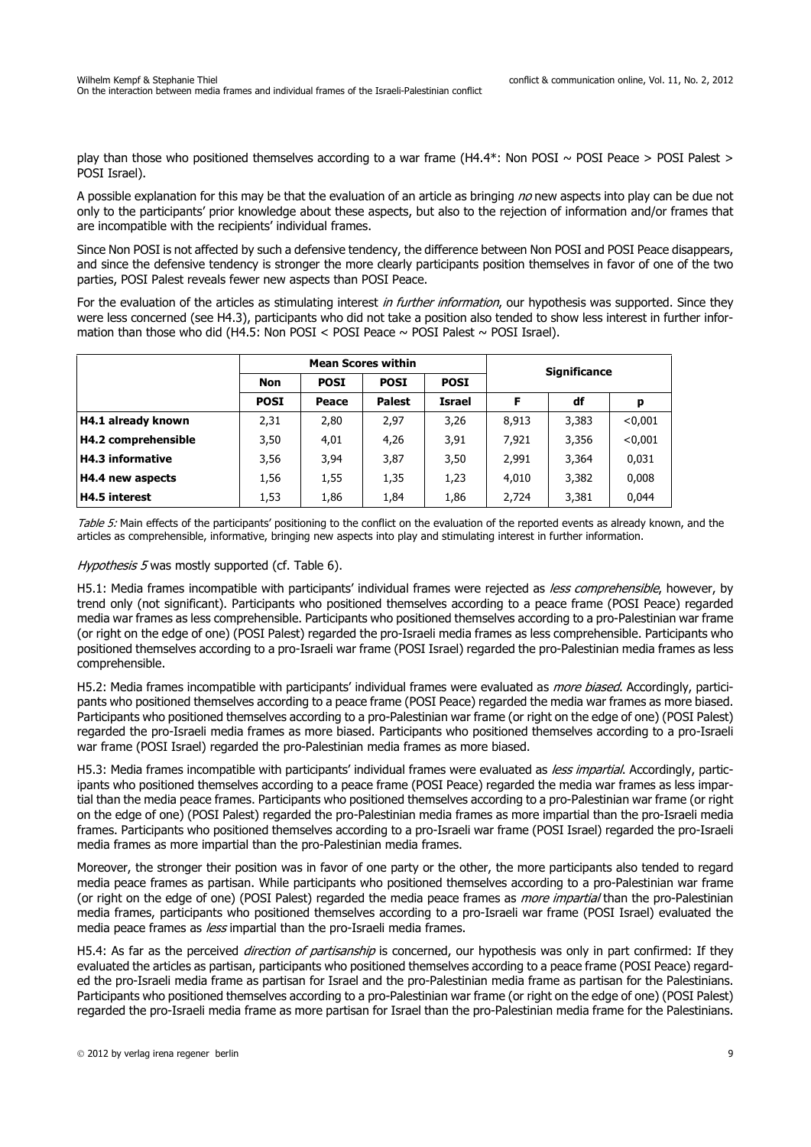play than those who positioned themselves according to a war frame (H4.4\*: Non POSI  $\sim$  POSI Peace > POSI Palest > POSI Israel).

A possible explanation for this may be that the evaluation of an article as bringing  $no$  new aspects into play can be due not only to the participants' prior knowledge about these aspects, but also to the rejection of information and/or frames that are incompatible with the recipients' individual frames.

Since Non POSI is not affected by such a defensive tendency, the difference between Non POSI and POSI Peace disappears, and since the defensive tendency is stronger the more clearly participants position themselves in favor of one of the two parties, POSI Palest reveals fewer new aspects than POSI Peace.

For the evaluation of the articles as stimulating interest in further information, our hypothesis was supported. Since they were less concerned (see H4.3), participants who did not take a position also tended to show less interest in further information than those who did (H4.5: Non POSI < POSI Peace  $\sim$  POSI Palest  $\sim$  POSI Israel).

|                         |                                                         |       | <b>Mean Scores within</b> | <b>Significance</b> |       |       |         |
|-------------------------|---------------------------------------------------------|-------|---------------------------|---------------------|-------|-------|---------|
|                         | <b>POSI</b><br><b>POSI</b><br><b>POSI</b><br><b>Non</b> |       |                           |                     |       |       |         |
|                         | <b>POSI</b>                                             | Peace | <b>Palest</b>             | <b>Israel</b>       | F     | df    | р       |
| H4.1 already known      | 2,31                                                    | 2,80  | 2,97                      | 3,26                | 8,913 | 3,383 | < 0.001 |
| H4.2 comprehensible     | 3,50                                                    | 4,01  | 4,26                      | 3,91                | 7.921 | 3,356 | < 0.001 |
| <b>H4.3 informative</b> | 3,56                                                    | 3,94  | 3,87                      | 3,50                | 2,991 | 3,364 | 0,031   |
| H4.4 new aspects        | 1,56                                                    | 1,55  | 1,35                      | 1,23                | 4,010 | 3,382 | 0,008   |
| <b>H4.5 interest</b>    | 1,53                                                    | 1,86  | 1,84                      | 1,86                | 2,724 | 3,381 | 0.044   |

Table 5: Main effects of the participants' positioning to the conflict on the evaluation of the reported events as already known, and the articles as comprehensible, informative, bringing new aspects into play and stimulating interest in further information.

### Hypothesis 5 was mostly supported (cf. Table 6).

H5.1: Media frames incompatible with participants' individual frames were rejected as less comprehensible, however, by trend only (not significant). Participants who positioned themselves according to a peace frame (POSI Peace) regarded media war frames as less comprehensible. Participants who positioned themselves according to a pro-Palestinian war frame (or right on the edge of one) (POSI Palest) regarded the pro-Israeli media frames as less comprehensible. Participants who positioned themselves according to a pro-Israeli war frame (POSI Israel) regarded the pro-Palestinian media frames as less comprehensible.

H5.2: Media frames incompatible with participants' individual frames were evaluated as *more biased*. Accordingly, participants who positioned themselves according to a peace frame (POSI Peace) regarded the media war frames as more biased. Participants who positioned themselves according to a pro-Palestinian war frame (or right on the edge of one) (POSI Palest) regarded the pro-Israeli media frames as more biased. Participants who positioned themselves according to a pro-Israeli war frame (POSI Israel) regarded the pro-Palestinian media frames as more biased.

H5.3: Media frames incompatible with participants' individual frames were evaluated as less impartial. Accordingly, participants who positioned themselves according to a peace frame (POSI Peace) regarded the media war frames as less impartial than the media peace frames. Participants who positioned themselves according to a pro-Palestinian war frame (or right on the edge of one) (POSI Palest) regarded the pro-Palestinian media frames as more impartial than the pro-Israeli media frames. Participants who positioned themselves according to a pro-Israeli war frame (POSI Israel) regarded the pro-Israeli media frames as more impartial than the pro-Palestinian media frames.

Moreover, the stronger their position was in favor of one party or the other, the more participants also tended to regard media peace frames as partisan. While participants who positioned themselves according to a pro-Palestinian war frame (or right on the edge of one) (POSI Palest) regarded the media peace frames as *more impartial* than the pro-Palestinian media frames, participants who positioned themselves according to a pro-Israeli war frame (POSI Israel) evaluated the media peace frames as *less* impartial than the pro-Israeli media frames.

H5.4: As far as the perceived *direction of partisanship* is concerned, our hypothesis was only in part confirmed: If they evaluated the articles as partisan, participants who positioned themselves according to a peace frame (POSI Peace) regarded the pro-Israeli media frame as partisan for Israel and the pro-Palestinian media frame as partisan for the Palestinians. Participants who positioned themselves according to a pro-Palestinian war frame (or right on the edge of one) (POSI Palest) regarded the pro-Israeli media frame as more partisan for Israel than the pro-Palestinian media frame for the Palestinians.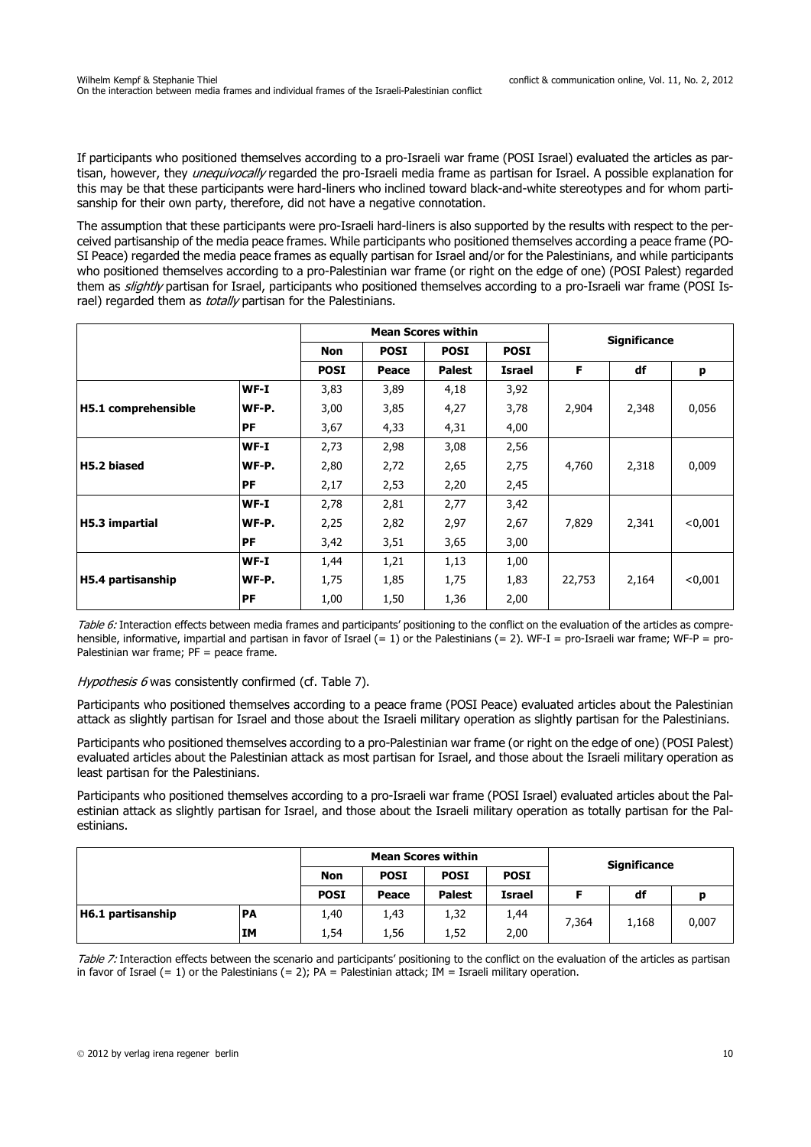If participants who positioned themselves according to a pro-Israeli war frame (POSI Israel) evaluated the articles as partisan, however, they *unequivocally* regarded the pro-Israeli media frame as partisan for Israel. A possible explanation for this may be that these participants were hard-liners who inclined toward black-and-white stereotypes and for whom partisanship for their own party, therefore, did not have a negative connotation.

The assumption that these participants were pro-Israeli hard-liners is also supported by the results with respect to the perceived partisanship of the media peace frames. While participants who positioned themselves according a peace frame (PO-SI Peace) regarded the media peace frames as equally partisan for Israel and/or for the Palestinians, and while participants who positioned themselves according to a pro-Palestinian war frame (or right on the edge of one) (POSI Palest) regarded them as slightly partisan for Israel, participants who positioned themselves according to a pro-Israeli war frame (POSI Israel) regarded them as *totally* partisan for the Palestinians.

|                     |           | <b>Mean Scores within</b> |             |               |             | <b>Significance</b> |       |         |
|---------------------|-----------|---------------------------|-------------|---------------|-------------|---------------------|-------|---------|
|                     |           | <b>Non</b>                | <b>POSI</b> | <b>POSI</b>   | <b>POSI</b> |                     |       |         |
|                     |           | <b>POSI</b>               | Peace       | <b>Palest</b> | Israel      | F                   | df    | р       |
|                     | $WF-I$    | 3,83                      | 3,89        | 4,18          | 3,92        |                     |       |         |
| H5.1 comprehensible | WF-P.     | 3,00                      | 3,85        | 4,27          | 3,78        | 2,904               | 2,348 | 0,056   |
|                     | <b>PF</b> | 3,67                      | 4,33        | 4,31          | 4,00        |                     |       |         |
|                     | $WF-I$    | 2,73                      | 2,98        | 3,08          | 2,56        |                     |       |         |
| H5.2 biased         | WF-P.     | 2,80                      | 2,72        | 2,65          | 2,75        | 4,760               | 2,318 | 0,009   |
|                     | <b>PF</b> | 2,17                      | 2,53        | 2,20          | 2,45        |                     |       |         |
|                     | $WF-I$    | 2,78                      | 2,81        | 2,77          | 3,42        |                     |       |         |
| H5.3 impartial      | WF-P.     | 2,25                      | 2,82        | 2,97          | 2,67        | 7,829               | 2,341 | < 0.001 |
|                     | <b>PF</b> | 3,42                      | 3,51        | 3,65          | 3,00        |                     |       |         |
|                     | $WF-I$    | 1,44                      | 1,21        | 1,13          | 1,00        |                     |       |         |
| H5.4 partisanship   | WF-P.     | 1,75                      | 1,85        | 1,75          | 1,83        | 22,753              | 2,164 | < 0,001 |
|                     | <b>PF</b> | 1,00                      | 1,50        | 1,36          | 2,00        |                     |       |         |

Table 6: Interaction effects between media frames and participants' positioning to the conflict on the evaluation of the articles as comprehensible, informative, impartial and partisan in favor of Israel  $(= 1)$  or the Palestinians  $(= 2)$ . WF-I = pro-Israeli war frame: WF-P = pro-Palestinian war frame; PF = peace frame.

Hypothesis 6 was consistently confirmed (cf. Table 7).

Participants who positioned themselves according to a peace frame (POSI Peace) evaluated articles about the Palestinian attack as slightly partisan for Israel and those about the Israeli military operation as slightly partisan for the Palestinians.

Participants who positioned themselves according to a pro-Palestinian war frame (or right on the edge of one) (POSI Palest) evaluated articles about the Palestinian attack as most partisan for Israel, and those about the Israeli military operation as least partisan for the Palestinians.

Participants who positioned themselves according to a pro-Israeli war frame (POSI Israel) evaluated articles about the Palestinian attack as slightly partisan for Israel, and those about the Israeli military operation as totally partisan for the Palestinians.

|                   |           |                                          |       | <b>Mean Scores within</b> |               | <b>Significance</b> |    |       |
|-------------------|-----------|------------------------------------------|-------|---------------------------|---------------|---------------------|----|-------|
|                   |           | <b>POSI</b><br><b>Non</b><br><b>POSI</b> |       |                           | <b>POSI</b>   |                     |    |       |
|                   |           | <b>POSI</b>                              | Peace | <b>Palest</b>             | <b>Israel</b> |                     | df | D     |
| H6.1 partisanship | <b>PA</b> | 1,40                                     | 1,43  | 1,32                      | 1,44          | 7.364<br>1,168      |    | 0,007 |
|                   | <b>IM</b> | 1,54                                     | 1,56  | 1,52                      | 2,00          |                     |    |       |

Table 7: Interaction effects between the scenario and participants' positioning to the conflict on the evaluation of the articles as partisan in favor of Israel (= 1) or the Palestinians (= 2);  $PA =$  Palestinian attack; IM = Israeli military operation.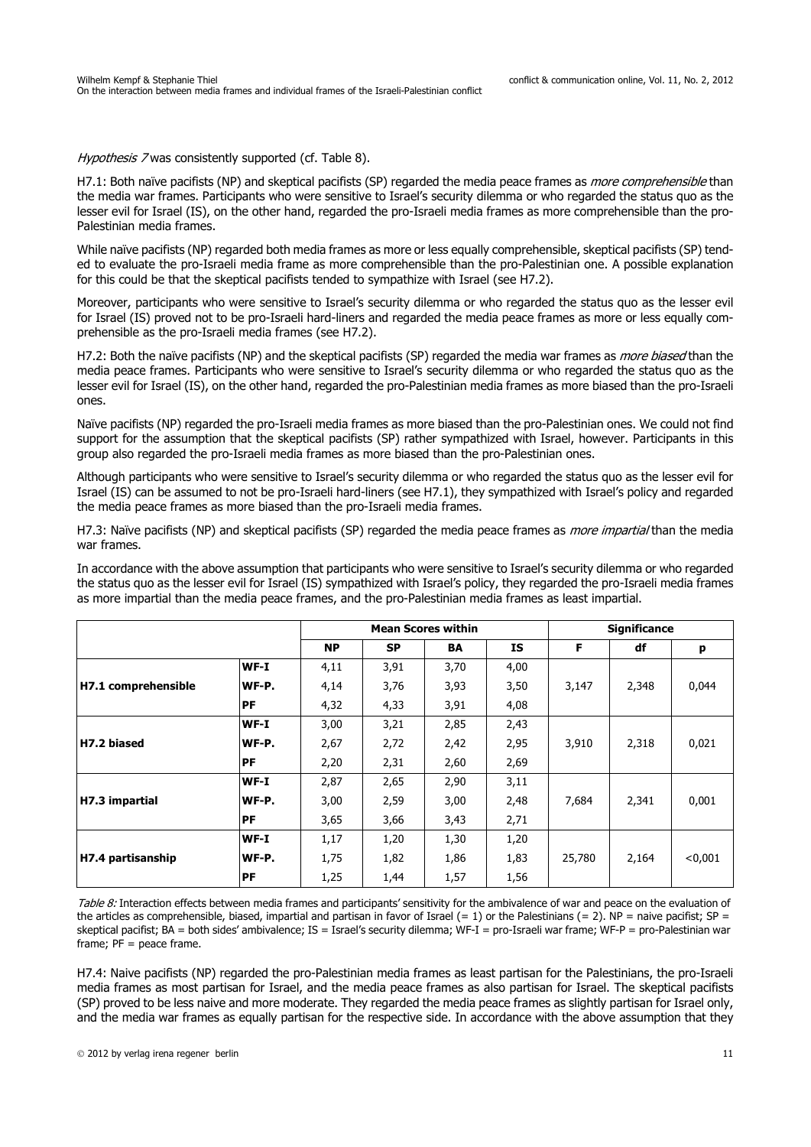Hypothesis 7 was consistently supported (cf. Table 8).

H7.1: Both naïve pacifists (NP) and skeptical pacifists (SP) regarded the media peace frames as *more comprehensible* than the media war frames. Participants who were sensitive to Israel's security dilemma or who regarded the status quo as the lesser evil for Israel (IS), on the other hand, regarded the pro-Israeli media frames as more comprehensible than the pro-Palestinian media frames.

While naïve pacifists (NP) regarded both media frames as more or less equally comprehensible, skeptical pacifists (SP) tended to evaluate the pro-Israeli media frame as more comprehensible than the pro-Palestinian one. A possible explanation for this could be that the skeptical pacifists tended to sympathize with Israel (see H7.2).

Moreover, participants who were sensitive to Israel's security dilemma or who regarded the status quo as the lesser evil for Israel (IS) proved not to be pro-Israeli hard-liners and regarded the media peace frames as more or less equally comprehensible as the pro-Israeli media frames (see H7.2).

H7.2: Both the naïve pacifists (NP) and the skeptical pacifists (SP) regarded the media war frames as *more biased* than the media peace frames. Participants who were sensitive to Israel's security dilemma or who regarded the status quo as the lesser evil for Israel (IS), on the other hand, regarded the pro-Palestinian media frames as more biased than the pro-Israeli ones.

Naïve pacifists (NP) regarded the pro-Israeli media frames as more biased than the pro-Palestinian ones. We could not find support for the assumption that the skeptical pacifists (SP) rather sympathized with Israel, however. Participants in this group also regarded the pro-Israeli media frames as more biased than the pro-Palestinian ones.

Although participants who were sensitive to Israel's security dilemma or who regarded the status quo as the lesser evil for Israel (IS) can be assumed to not be pro-Israeli hard-liners (see H7.1), they sympathized with Israel's policy and regarded the media peace frames as more biased than the pro-Israeli media frames.

H7.3: Naïve pacifists (NP) and skeptical pacifists (SP) regarded the media peace frames as *more impartial* than the media war frames.

In accordance with the above assumption that participants who were sensitive to Israel's security dilemma or who regarded the status quo as the lesser evil for Israel (IS) sympathized with Israel's policy, they regarded the pro-Israeli media frames as more impartial than the media peace frames, and the pro-Palestinian media frames as least impartial.

|                     |        | <b>Mean Scores within</b> |           |      |           |        | <b>Significance</b> |         |
|---------------------|--------|---------------------------|-----------|------|-----------|--------|---------------------|---------|
|                     |        | <b>NP</b>                 | <b>SP</b> | BA   | <b>IS</b> | F      | df                  | р       |
|                     | $WF-I$ | 4,11                      | 3,91      | 3,70 | 4,00      |        |                     |         |
| H7.1 comprehensible | WF-P.  | 4,14                      | 3,76      | 3,93 | 3,50      | 3,147  | 2,348               | 0,044   |
|                     | PF     | 4,32                      | 4,33      | 3,91 | 4,08      |        |                     |         |
|                     | $WF-I$ | 3,00                      | 3,21      | 2,85 | 2,43      |        |                     |         |
| H7.2 biased         | WF-P.  | 2,67                      | 2,72      | 2,42 | 2,95      | 3,910  | 2,318               | 0,021   |
|                     | PF     | 2,20                      | 2,31      | 2,60 | 2,69      |        |                     |         |
|                     | $WF-I$ | 2,87                      | 2,65      | 2,90 | 3,11      |        |                     |         |
| H7.3 impartial      | WF-P.  | 3,00                      | 2,59      | 3,00 | 2,48      | 7,684  | 2,341               | 0,001   |
|                     | PF     | 3,65                      | 3,66      | 3,43 | 2,71      |        |                     |         |
|                     | $WF-I$ | 1,17                      | 1,20      | 1,30 | 1,20      |        |                     |         |
| H7.4 partisanship   | WF-P.  | 1,75                      | 1,82      | 1,86 | 1,83      | 25,780 | 2,164               | < 0.001 |
|                     | PF     | 1,25                      | 1,44      | 1,57 | 1,56      |        |                     |         |

Table 8: Interaction effects between media frames and participants' sensitivity for the ambivalence of war and peace on the evaluation of the articles as comprehensible, biased, impartial and partisan in favor of Israel (= 1) or the Palestinians (= 2). NP = naive pacifist;  $SP =$ skeptical pacifist; BA = both sides' ambivalence; IS = Israel's security dilemma; WF-I = pro-Israeli war frame; WF-P = pro-Palestinian war frame; PF = peace frame.

H7.4: Naive pacifists (NP) regarded the pro-Palestinian media frames as least partisan for the Palestinians, the pro-Israeli media frames as most partisan for Israel, and the media peace frames as also partisan for Israel. The skeptical pacifists (SP) proved to be less naive and more moderate. They regarded the media peace frames as slightly partisan for Israel only, and the media war frames as equally partisan for the respective side. In accordance with the above assumption that they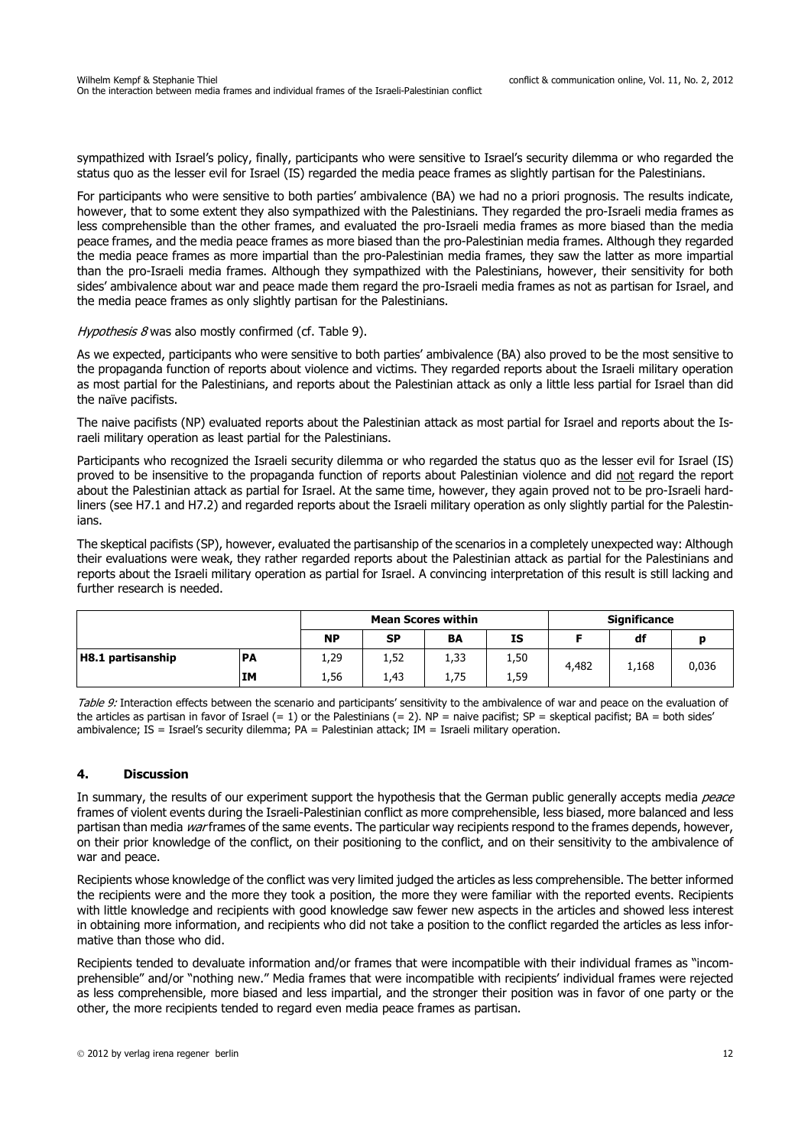sympathized with Israel's policy, finally, participants who were sensitive to Israel's security dilemma or who regarded the status quo as the lesser evil for Israel (IS) regarded the media peace frames as slightly partisan for the Palestinians.

For participants who were sensitive to both parties' ambivalence (BA) we had no a priori prognosis. The results indicate, however, that to some extent they also sympathized with the Palestinians. They regarded the pro-Israeli media frames as less comprehensible than the other frames, and evaluated the pro-Israeli media frames as more biased than the media peace frames, and the media peace frames as more biased than the pro-Palestinian media frames. Although they regarded the media peace frames as more impartial than the pro-Palestinian media frames, they saw the latter as more impartial than the pro-Israeli media frames. Although they sympathized with the Palestinians, however, their sensitivity for both sides' ambivalence about war and peace made them regard the pro-Israeli media frames as not as partisan for Israel, and the media peace frames as only slightly partisan for the Palestinians.

#### Hypothesis 8 was also mostly confirmed (cf. Table 9).

As we expected, participants who were sensitive to both parties' ambivalence (BA) also proved to be the most sensitive to the propaganda function of reports about violence and victims. They regarded reports about the Israeli military operation as most partial for the Palestinians, and reports about the Palestinian attack as only a little less partial for Israel than did the naïve pacifists.

The naive pacifists (NP) evaluated reports about the Palestinian attack as most partial for Israel and reports about the Israeli military operation as least partial for the Palestinians.

Participants who recognized the Israeli security dilemma or who regarded the status quo as the lesser evil for Israel (IS) proved to be insensitive to the propaganda function of reports about Palestinian violence and did not regard the report about the Palestinian attack as partial for Israel. At the same time, however, they again proved not to be pro-Israeli hardliners (see H7.1 and H7.2) and regarded reports about the Israeli military operation as only slightly partial for the Palestinians.

The skeptical pacifists (SP), however, evaluated the partisanship of the scenarios in a completely unexpected way: Although their evaluations were weak, they rather regarded reports about the Palestinian attack as partial for the Palestinians and reports about the Israeli military operation as partial for Israel. A convincing interpretation of this result is still lacking and further research is needed.

|                                |           |           | <b>Mean Scores within</b> |           |      | <b>Significance</b> |       |       |
|--------------------------------|-----------|-----------|---------------------------|-----------|------|---------------------|-------|-------|
|                                | <b>NP</b> | <b>SP</b> | BA                        | <b>IS</b> |      | df                  |       |       |
| H8.1 partisanship<br><b>PA</b> |           | 1,29      | 1,52                      | 1,33      | 1,50 | 4,482               | 1,168 | 0,036 |
|                                | <b>IM</b> | 1,56      | 1,43                      | 1,75      | 1,59 |                     |       |       |

Table 9: Interaction effects between the scenario and participants' sensitivity to the ambivalence of war and peace on the evaluation of the articles as partisan in favor of Israel  $(= 1)$  or the Palestinians  $(= 2)$ . NP = naive pacifist; SP = skeptical pacifist; BA = both sides' ambivalence; IS = Israel's security dilemma; PA = Palestinian attack; IM = Israeli military operation.

### **4. Discussion**

In summary, the results of our experiment support the hypothesis that the German public generally accepts media peace frames of violent events during the Israeli-Palestinian conflict as more comprehensible, less biased, more balanced and less partisan than media war frames of the same events. The particular way recipients respond to the frames depends, however, on their prior knowledge of the conflict, on their positioning to the conflict, and on their sensitivity to the ambivalence of war and peace.

Recipients whose knowledge of the conflict was very limited judged the articles as less comprehensible. The better informed the recipients were and the more they took a position, the more they were familiar with the reported events. Recipients with little knowledge and recipients with good knowledge saw fewer new aspects in the articles and showed less interest in obtaining more information, and recipients who did not take a position to the conflict regarded the articles as less informative than those who did.

Recipients tended to devaluate information and/or frames that were incompatible with their individual frames as "incomprehensible" and/or "nothing new." Media frames that were incompatible with recipients' individual frames were rejected as less comprehensible, more biased and less impartial, and the stronger their position was in favor of one party or the other, the more recipients tended to regard even media peace frames as partisan.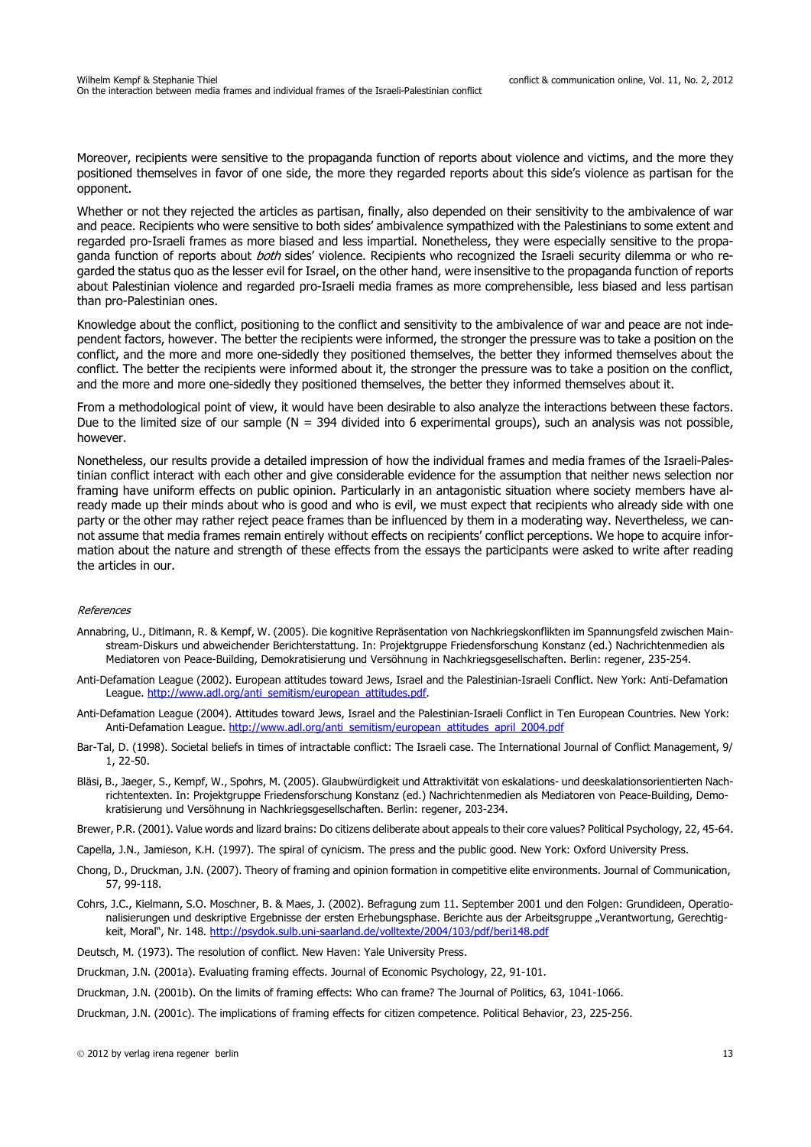Moreover, recipients were sensitive to the propaganda function of reports about violence and victims, and the more they positioned themselves in favor of one side, the more they regarded reports about this side's violence as partisan for the opponent.

Whether or not they rejected the articles as partisan, finally, also depended on their sensitivity to the ambivalence of war and peace. Recipients who were sensitive to both sides' ambivalence sympathized with the Palestinians to some extent and regarded pro-Israeli frames as more biased and less impartial. Nonetheless, they were especially sensitive to the propaganda function of reports about *both* sides' violence. Recipients who recognized the Israeli security dilemma or who regarded the status quo as the lesser evil for Israel, on the other hand, were insensitive to the propaganda function of reports about Palestinian violence and regarded pro-Israeli media frames as more comprehensible, less biased and less partisan than pro-Palestinian ones.

Knowledge about the conflict, positioning to the conflict and sensitivity to the ambivalence of war and peace are not independent factors, however. The better the recipients were informed, the stronger the pressure was to take a position on the conflict, and the more and more one-sidedly they positioned themselves, the better they informed themselves about the conflict. The better the recipients were informed about it, the stronger the pressure was to take a position on the conflict, and the more and more one-sidedly they positioned themselves, the better they informed themselves about it.

From a methodological point of view, it would have been desirable to also analyze the interactions between these factors. Due to the limited size of our sample ( $N = 394$  divided into 6 experimental groups), such an analysis was not possible, however.

Nonetheless, our results provide a detailed impression of how the individual frames and media frames of the Israeli-Palestinian conflict interact with each other and give considerable evidence for the assumption that neither news selection nor framing have uniform effects on public opinion. Particularly in an antagonistic situation where society members have already made up their minds about who is good and who is evil, we must expect that recipients who already side with one party or the other may rather reject peace frames than be influenced by them in a moderating way. Nevertheless, we cannot assume that media frames remain entirely without effects on recipients' conflict perceptions. We hope to acquire information about the nature and strength of these effects from the essays the participants were asked to write after reading the articles in our.

#### References

- Annabring, U., Ditlmann, R. & Kempf, W. (2005). Die kognitive Repräsentation von Nachkriegskonflikten im Spannungsfeld zwischen Mainstream-Diskurs und abweichender Berichterstattung. In: Projektgruppe Friedensforschung Konstanz (ed.) Nachrichtenmedien als Mediatoren von Peace-Building, Demokratisierung und Versöhnung in Nachkriegsgesellschaften. Berlin: regener, 235-254.
- Anti-Defamation League (2002). European attitudes toward Jews, Israel and the Palestinian-Israeli Conflict. New York: Anti-Defamation League. http://www.adl.org/anti\_semitism/european\_attitudes.pdf.
- Anti-Defamation League (2004). Attitudes toward Jews, Israel and the Palestinian-Israeli Conflict in Ten European Countries. New York: Anti-Defamation League. http://www.adl.org/anti\_semitism/european\_attitudes\_april\_2004.pdf
- Bar-Tal, D. (1998). Societal beliefs in times of intractable conflict: The Israeli case. The International Journal of Conflict Management, 9/ 1, 22-50.
- Bläsi, B., Jaeger, S., Kempf, W., Spohrs, M. (2005). Glaubwürdigkeit und Attraktivität von eskalations- und deeskalationsorientierten Nachrichtentexten. In: Projektgruppe Friedensforschung Konstanz (ed.) Nachrichtenmedien als Mediatoren von Peace-Building, Demokratisierung und Versöhnung in Nachkriegsgesellschaften. Berlin: regener, 203-234.
- Brewer, P.R. (2001). Value words and lizard brains: Do citizens deliberate about appeals to their core values? Political Psychology, 22, 45-64.
- Capella, J.N., Jamieson, K.H. (1997). The spiral of cynicism. The press and the public good. New York: Oxford University Press.
- Chong, D., Druckman, J.N. (2007). Theory of framing and opinion formation in competitive elite environments. Journal of Communication, 57, 99-118.
- Cohrs, J.C., Kielmann, S.O. Moschner, B. & Maes, J. (2002). Befragung zum 11. September 2001 und den Folgen: Grundideen, Operationalisierungen und deskriptive Ergebnisse der ersten Erhebungsphase. Berichte aus der Arbeitsgruppe "Verantwortung, Gerechtigkeit, Moral", Nr. 148. http://psydok.sulb.uni-saarland.de/volltexte/2004/103/pdf/beri148.pdf
- Deutsch, M. (1973). The resolution of conflict. New Haven: Yale University Press.
- Druckman, J.N. (2001a). Evaluating framing effects. Journal of Economic Psychology, 22, 91-101.
- Druckman, J.N. (2001b). On the limits of framing effects: Who can frame? The Journal of Politics, 63, 1041-1066.
- Druckman, J.N. (2001c). The implications of framing effects for citizen competence. Political Behavior, 23, 225-256.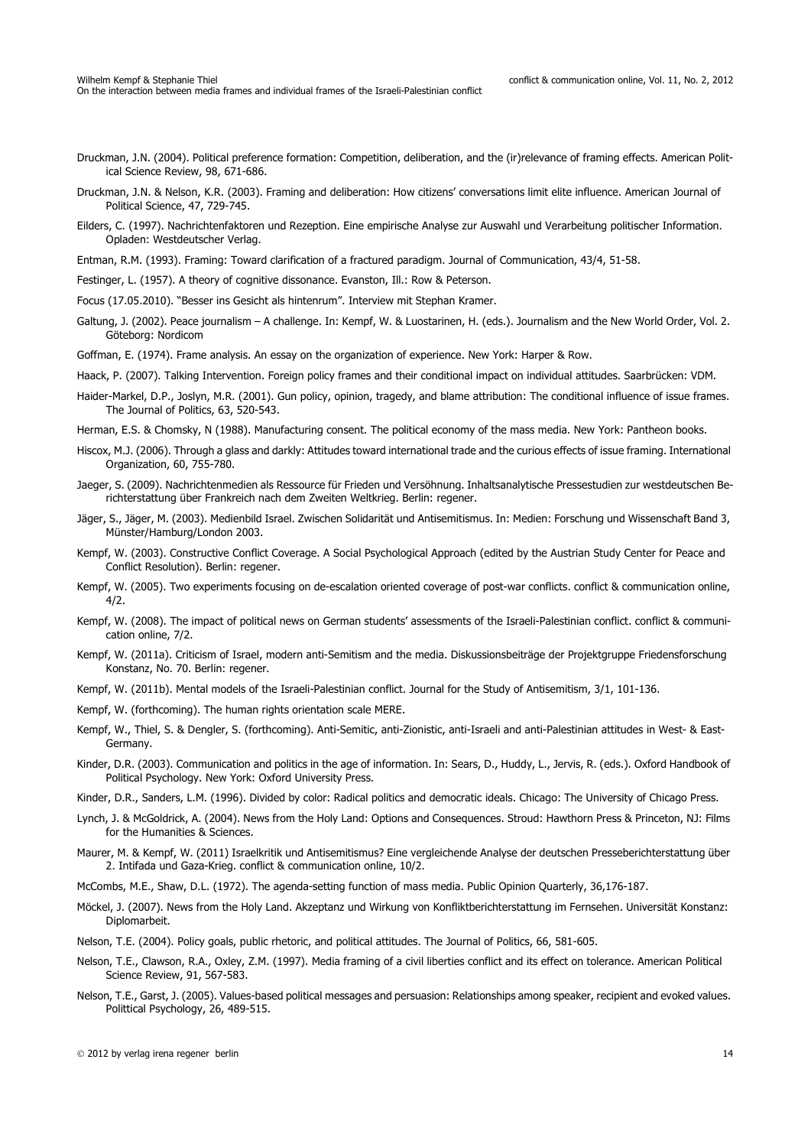- Druckman, J.N. (2004). Political preference formation: Competition, deliberation, and the (ir)relevance of framing effects. American Political Science Review, 98, 671-686.
- Druckman, J.N. & Nelson, K.R. (2003). Framing and deliberation: How citizens' conversations limit elite influence. American Journal of Political Science, 47, 729-745.
- Eilders, C. (1997). Nachrichtenfaktoren und Rezeption. Eine empirische Analyse zur Auswahl und Verarbeitung politischer Information. Opladen: Westdeutscher Verlag.
- Entman, R.M. (1993). Framing: Toward clarification of a fractured paradigm. Journal of Communication, 43/4, 51-58.
- Festinger, L. (1957). A theory of cognitive dissonance. Evanston, Ill.: Row & Peterson.
- Focus (17.05.2010). "Besser ins Gesicht als hintenrum". Interview mit Stephan Kramer.
- Galtung, J. (2002). Peace journalism A challenge. In: Kempf, W. & Luostarinen, H. (eds.). Journalism and the New World Order, Vol. 2. Göteborg: Nordicom

Goffman, E. (1974). Frame analysis. An essay on the organization of experience. New York: Harper & Row.

Haack, P. (2007). Talking Intervention. Foreign policy frames and their conditional impact on individual attitudes. Saarbrücken: VDM.

- Haider-Markel, D.P., Joslyn, M.R. (2001). Gun policy, opinion, tragedy, and blame attribution: The conditional influence of issue frames. The Journal of Politics, 63, 520-543.
- Herman, E.S. & Chomsky, N (1988). Manufacturing consent. The political economy of the mass media. New York: Pantheon books.
- Hiscox, M.J. (2006). Through a glass and darkly: Attitudes toward international trade and the curious effects of issue framing. International Organization, 60, 755-780.
- Jaeger, S. (2009). Nachrichtenmedien als Ressource für Frieden und Versöhnung. Inhaltsanalytische Pressestudien zur westdeutschen Berichterstattung über Frankreich nach dem Zweiten Weltkrieg. Berlin: regener.
- Jäger, S., Jäger, M. (2003). Medienbild Israel. Zwischen Solidarität und Antisemitismus. In: Medien: Forschung und Wissenschaft Band 3, Münster/Hamburg/London 2003.
- Kempf, W. (2003). Constructive Conflict Coverage. A Social Psychological Approach (edited by the Austrian Study Center for Peace and Conflict Resolution). Berlin: regener.
- Kempf, W. (2005). Two experiments focusing on de-escalation oriented coverage of post-war conflicts. conflict & communication online, 4/2.
- Kempf, W. (2008). The impact of political news on German students' assessments of the Israeli-Palestinian conflict. conflict & communication online, 7/2.
- Kempf, W. (2011a). Criticism of Israel, modern anti-Semitism and the media. Diskussionsbeiträge der Projektgruppe Friedensforschung Konstanz, No. 70. Berlin: regener.
- Kempf, W. (2011b). Mental models of the Israeli-Palestinian conflict. Journal for the Study of Antisemitism, 3/1, 101-136.
- Kempf, W. (forthcoming). The human rights orientation scale MERE.
- Kempf, W., Thiel, S. & Dengler, S. (forthcoming). Anti-Semitic, anti-Zionistic, anti-Israeli and anti-Palestinian attitudes in West- & East-Germany.
- Kinder, D.R. (2003). Communication and politics in the age of information. In: Sears, D., Huddy, L., Jervis, R. (eds.). Oxford Handbook of Political Psychology. New York: Oxford University Press.
- Kinder, D.R., Sanders, L.M. (1996). Divided by color: Radical politics and democratic ideals. Chicago: The University of Chicago Press.
- Lynch, J. & McGoldrick, A. (2004). News from the Holy Land: Options and Consequences. Stroud: Hawthorn Press & Princeton, NJ: Films for the Humanities & Sciences.
- Maurer, M. & Kempf, W. (2011) Israelkritik und Antisemitismus? Eine vergleichende Analyse der deutschen Presseberichterstattung über 2. Intifada und Gaza-Krieg. conflict & communication online, 10/2.
- McCombs, M.E., Shaw, D.L. (1972). The agenda-setting function of mass media. Public Opinion Quarterly, 36,176-187.
- Möckel, J. (2007). News from the Holy Land. Akzeptanz und Wirkung von Konfliktberichterstattung im Fernsehen. Universität Konstanz: Diplomarbeit.
- Nelson, T.E. (2004). Policy goals, public rhetoric, and political attitudes. The Journal of Politics, 66, 581-605.
- Nelson, T.E., Clawson, R.A., Oxley, Z.M. (1997). Media framing of a civil liberties conflict and its effect on tolerance. American Political Science Review, 91, 567-583.
- Nelson, T.E., Garst, J. (2005). Values-based political messages and persuasion: Relationships among speaker, recipient and evoked values. Polittical Psychology, 26, 489-515.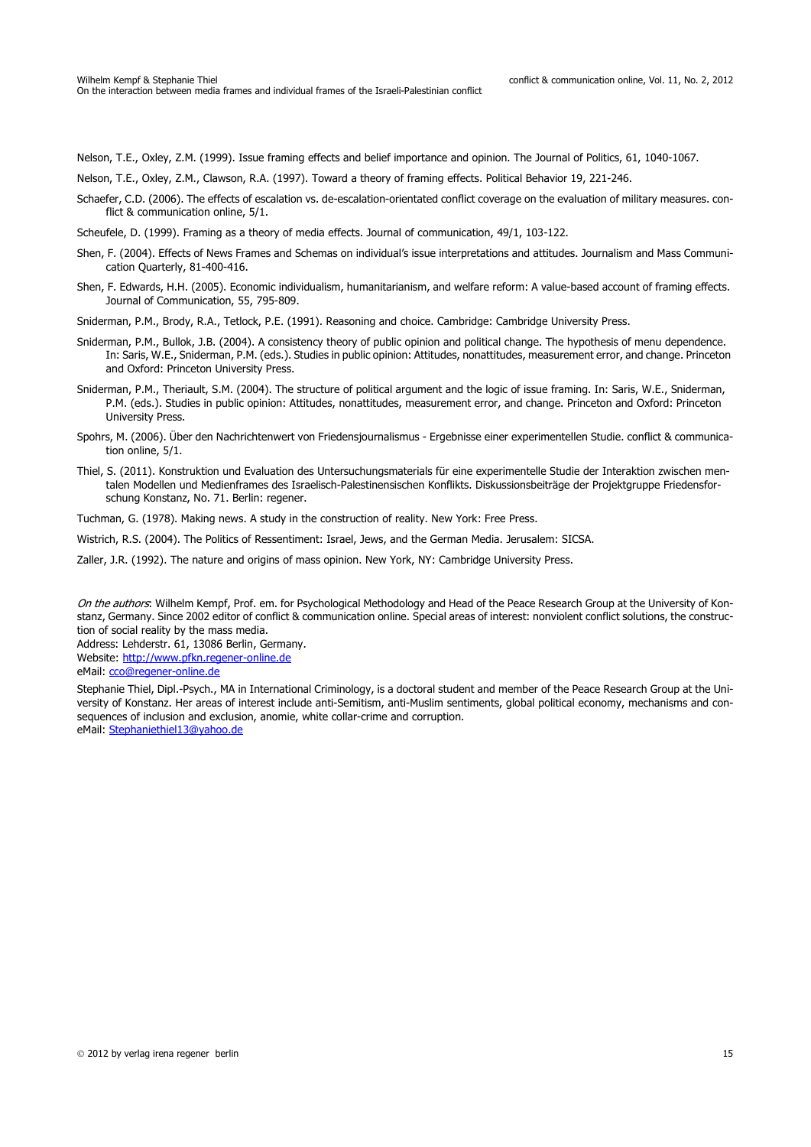Nelson, T.E., Oxley, Z.M. (1999). Issue framing effects and belief importance and opinion. The Journal of Politics, 61, 1040-1067.

- Nelson, T.E., Oxley, Z.M., Clawson, R.A. (1997). Toward a theory of framing effects. Political Behavior 19, 221-246.
- Schaefer, C.D. (2006). The effects of escalation vs. de-escalation-orientated conflict coverage on the evaluation of military measures. conflict & communication online, 5/1.
- Scheufele, D. (1999). Framing as a theory of media effects. Journal of communication, 49/1, 103-122.
- Shen, F. (2004). Effects of News Frames and Schemas on individual's issue interpretations and attitudes. Journalism and Mass Communication Quarterly, 81-400-416.
- Shen, F. Edwards, H.H. (2005). Economic individualism, humanitarianism, and welfare reform: A value-based account of framing effects. Journal of Communication, 55, 795-809.

Sniderman, P.M., Brody, R.A., Tetlock, P.E. (1991). Reasoning and choice. Cambridge: Cambridge University Press.

- Sniderman, P.M., Bullok, J.B. (2004). A consistency theory of public opinion and political change. The hypothesis of menu dependence. In: Saris, W.E., Sniderman, P.M. (eds.). Studies in public opinion: Attitudes, nonattitudes, measurement error, and change. Princeton and Oxford: Princeton University Press.
- Sniderman, P.M., Theriault, S.M. (2004). The structure of political argument and the logic of issue framing. In: Saris, W.E., Sniderman, P.M. (eds.). Studies in public opinion: Attitudes, nonattitudes, measurement error, and change. Princeton and Oxford: Princeton University Press.
- Spohrs, M. (2006). Über den Nachrichtenwert von Friedensjournalismus Ergebnisse einer experimentellen Studie. conflict & communication online, 5/1.
- Thiel, S. (2011). Konstruktion und Evaluation des Untersuchungsmaterials für eine experimentelle Studie der Interaktion zwischen mentalen Modellen und Medienframes des Israelisch-Palestinensischen Konflikts. Diskussionsbeiträge der Projektgruppe Friedensforschung Konstanz, No. 71. Berlin: regener.

Tuchman, G. (1978). Making news. A study in the construction of reality. New York: Free Press.

Wistrich, R.S. (2004). The Politics of Ressentiment: Israel, Jews, and the German Media. Jerusalem: SICSA.

Zaller, J.R. (1992). The nature and origins of mass opinion. New York, NY: Cambridge University Press.

On the authors: Wilhelm Kempf, Prof. em. for Psychological Methodology and Head of the Peace Research Group at the University of Konstanz, Germany. Since 2002 editor of conflict & communication online. Special areas of interest: nonviolent conflict solutions, the construction of social reality by the mass media.

Address: Lehderstr. 61, 13086 Berlin, Germany.

Website: http://www.pfkn.regener-online.de

eMail: cco@regener-online.de

Stephanie Thiel, Dipl.-Psych., MA in International Criminology, is a doctoral student and member of the Peace Research Group at the University of Konstanz. Her areas of interest include anti-Semitism, anti-Muslim sentiments, global political economy, mechanisms and consequences of inclusion and exclusion, anomie, white collar-crime and corruption. eMail: Stephaniethiel13@yahoo.de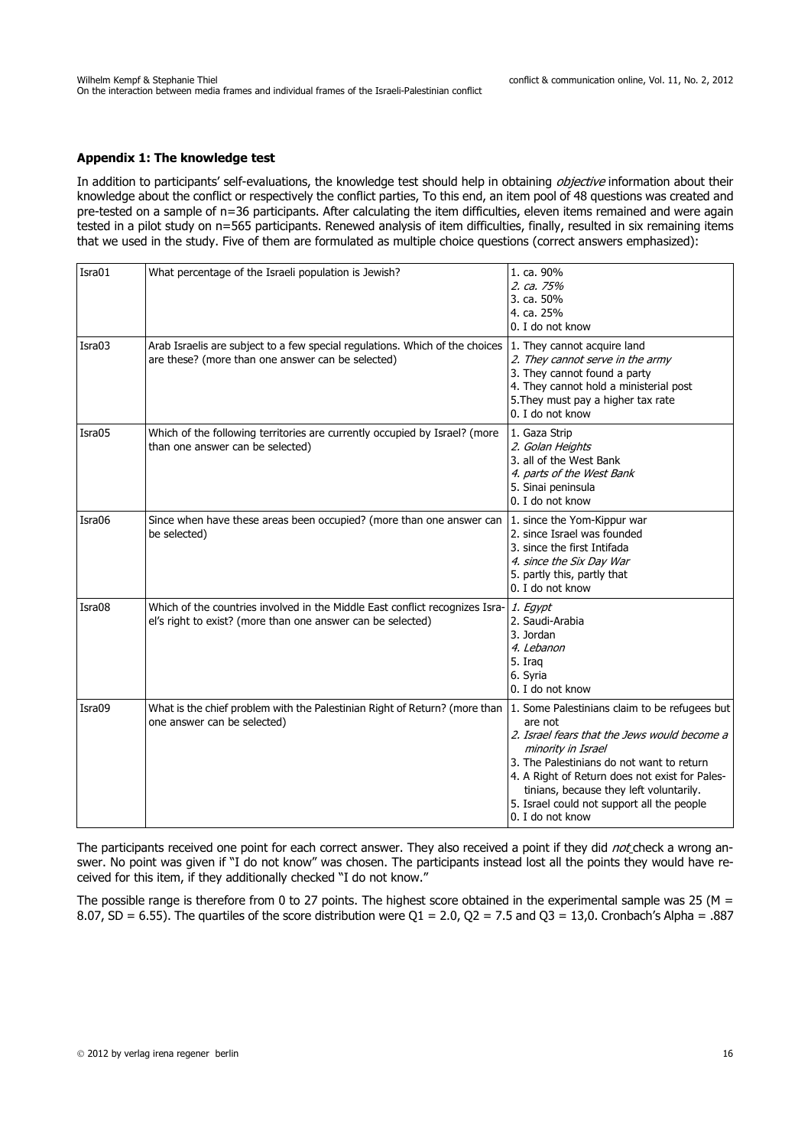### **Appendix 1: The knowledge test**

In addition to participants' self-evaluations, the knowledge test should help in obtaining *objective* information about their knowledge about the conflict or respectively the conflict parties, To this end, an item pool of 48 questions was created and pre-tested on a sample of n=36 participants. After calculating the item difficulties, eleven items remained and were again tested in a pilot study on n=565 participants. Renewed analysis of item difficulties, finally, resulted in six remaining items that we used in the study. Five of them are formulated as multiple choice questions (correct answers emphasized):

| Isra01 | What percentage of the Israeli population is Jewish?                                                                                                          | 1. ca. 90%<br>2. ca. 75%<br>3. ca. 50%<br>4. ca. 25%<br>0. I do not know                                                                                                                                                                                                                  |
|--------|---------------------------------------------------------------------------------------------------------------------------------------------------------------|-------------------------------------------------------------------------------------------------------------------------------------------------------------------------------------------------------------------------------------------------------------------------------------------|
| Isra03 | Arab Israelis are subject to a few special regulations. Which of the choices 1. They cannot acquire land<br>are these? (more than one answer can be selected) | 2. They cannot serve in the army<br>3. They cannot found a party<br>4. They cannot hold a ministerial post<br>5. They must pay a higher tax rate<br>0. I do not know                                                                                                                      |
| Isra05 | Which of the following territories are currently occupied by Israel? (more<br>than one answer can be selected)                                                | 1. Gaza Strip<br>2. Golan Heights<br>3. all of the West Bank<br>4. parts of the West Bank<br>5. Sinai peninsula<br>0. I do not know                                                                                                                                                       |
| Isra06 | Since when have these areas been occupied? (more than one answer can $ 1$ . since the Yom-Kippur war<br>be selected)                                          | 2. since Israel was founded<br>3. since the first Intifada<br>4. since the Six Day War<br>5. partly this, partly that<br>0. I do not know                                                                                                                                                 |
| Isra08 | Which of the countries involved in the Middle East conflict recognizes Isra-<br>el's right to exist? (more than one answer can be selected)                   | 1. Egypt<br>2. Saudi-Arabia<br>3. Jordan<br>4. Lebanon<br>5. Iraq<br>6. Syria<br>0. I do not know                                                                                                                                                                                         |
| Isra09 | What is the chief problem with the Palestinian Right of Return? (more than 1. Some Palestinians claim to be refugees but<br>one answer can be selected)       | are not<br>2. Israel fears that the Jews would become a<br>minority in Israel<br>3. The Palestinians do not want to return<br>4. A Right of Return does not exist for Pales-<br>tinians, because they left voluntarily.<br>5. Israel could not support all the people<br>0. I do not know |

The participants received one point for each correct answer. They also received a point if they did not check a wrong answer. No point was given if "I do not know" was chosen. The participants instead lost all the points they would have received for this item, if they additionally checked "I do not know."

The possible range is therefore from 0 to 27 points. The highest score obtained in the experimental sample was 25 (M = 8.07, SD = 6.55). The quartiles of the score distribution were Q1 = 2.0, Q2 = 7.5 and Q3 = 13,0. Cronbach's Alpha = .887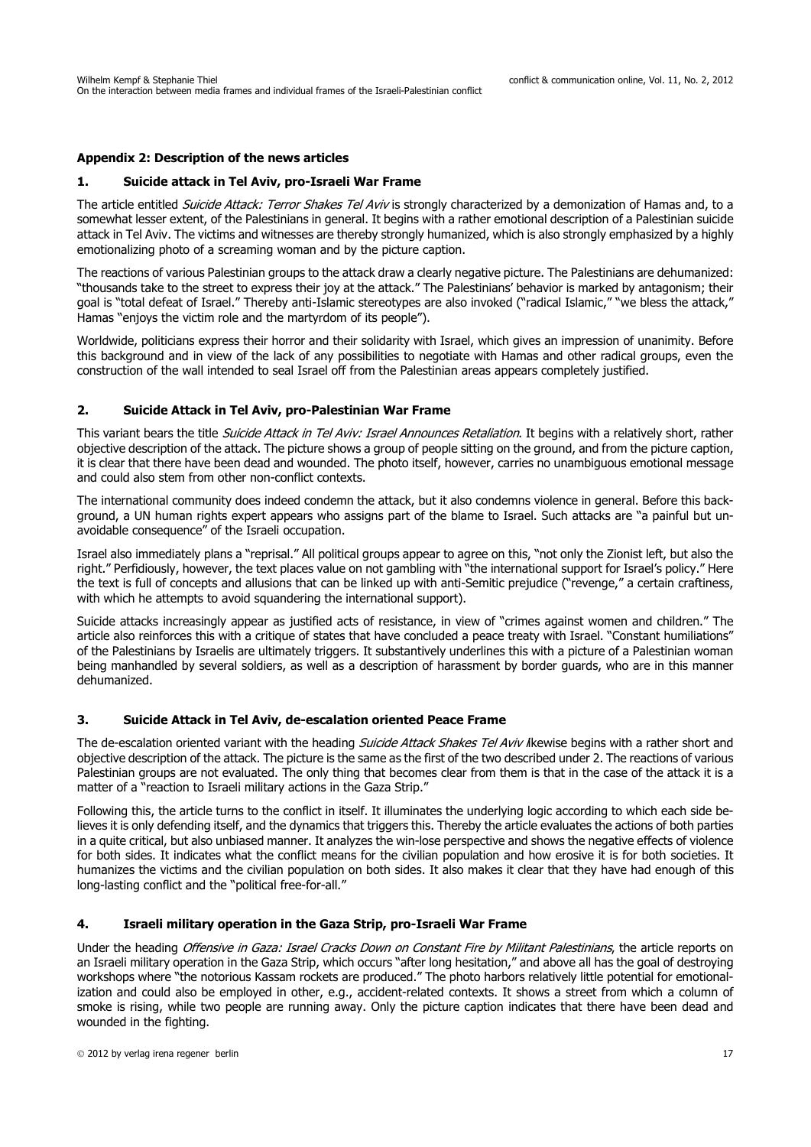### **Appendix 2: Description of the news articles**

#### **1. Suicide attack in Tel Aviv, pro-Israeli War Frame**

The article entitled Suicide Attack: Terror Shakes Tel Aviv is strongly characterized by a demonization of Hamas and, to a somewhat lesser extent, of the Palestinians in general. It begins with a rather emotional description of a Palestinian suicide attack in Tel Aviv. The victims and witnesses are thereby strongly humanized, which is also strongly emphasized by a highly emotionalizing photo of a screaming woman and by the picture caption.

The reactions of various Palestinian groups to the attack draw a clearly negative picture. The Palestinians are dehumanized: "thousands take to the street to express their joy at the attack." The Palestinians' behavior is marked by antagonism; their goal is "total defeat of Israel." Thereby anti-Islamic stereotypes are also invoked ("radical Islamic," "we bless the attack," Hamas "enjoys the victim role and the martyrdom of its people").

Worldwide, politicians express their horror and their solidarity with Israel, which gives an impression of unanimity. Before this background and in view of the lack of any possibilities to negotiate with Hamas and other radical groups, even the construction of the wall intended to seal Israel off from the Palestinian areas appears completely justified.

### **2. Suicide Attack in Tel Aviv, pro-Palestinian War Frame**

This variant bears the title Suicide Attack in Tel Aviv: Israel Announces Retaliation. It begins with a relatively short, rather objective description of the attack. The picture shows a group of people sitting on the ground, and from the picture caption, it is clear that there have been dead and wounded. The photo itself, however, carries no unambiguous emotional message and could also stem from other non-conflict contexts.

The international community does indeed condemn the attack, but it also condemns violence in general. Before this background, a UN human rights expert appears who assigns part of the blame to Israel. Such attacks are "a painful but unavoidable consequence" of the Israeli occupation.

Israel also immediately plans a "reprisal." All political groups appear to agree on this, "not only the Zionist left, but also the right." Perfidiously, however, the text places value on not gambling with "the international support for Israel's policy." Here the text is full of concepts and allusions that can be linked up with anti-Semitic prejudice ("revenge," a certain craftiness, with which he attempts to avoid squandering the international support).

Suicide attacks increasingly appear as justified acts of resistance, in view of "crimes against women and children." The article also reinforces this with a critique of states that have concluded a peace treaty with Israel. "Constant humiliations" of the Palestinians by Israelis are ultimately triggers. It substantively underlines this with a picture of a Palestinian woman being manhandled by several soldiers, as well as a description of harassment by border guards, who are in this manner dehumanized.

#### **3. Suicide Attack in Tel Aviv, de-escalation oriented Peace Frame**

The de-escalation oriented variant with the heading Suicide Attack Shakes Tel Aviv likewise begins with a rather short and objective description of the attack. The picture is the same as the first of the two described under 2. The reactions of various Palestinian groups are not evaluated. The only thing that becomes clear from them is that in the case of the attack it is a matter of a "reaction to Israeli military actions in the Gaza Strip."

Following this, the article turns to the conflict in itself. It illuminates the underlying logic according to which each side believes it is only defending itself, and the dynamics that triggers this. Thereby the article evaluates the actions of both parties in a quite critical, but also unbiased manner. It analyzes the win-lose perspective and shows the negative effects of violence for both sides. It indicates what the conflict means for the civilian population and how erosive it is for both societies. It humanizes the victims and the civilian population on both sides. It also makes it clear that they have had enough of this long-lasting conflict and the "political free-for-all."

### **4. Israeli military operation in the Gaza Strip, pro-Israeli War Frame**

Under the heading Offensive in Gaza: Israel Cracks Down on Constant Fire by Militant Palestinians, the article reports on an Israeli military operation in the Gaza Strip, which occurs "after long hesitation," and above all has the goal of destroying workshops where "the notorious Kassam rockets are produced." The photo harbors relatively little potential for emotionalization and could also be employed in other, e.g., accident-related contexts. It shows a street from which a column of smoke is rising, while two people are running away. Only the picture caption indicates that there have been dead and wounded in the fighting.